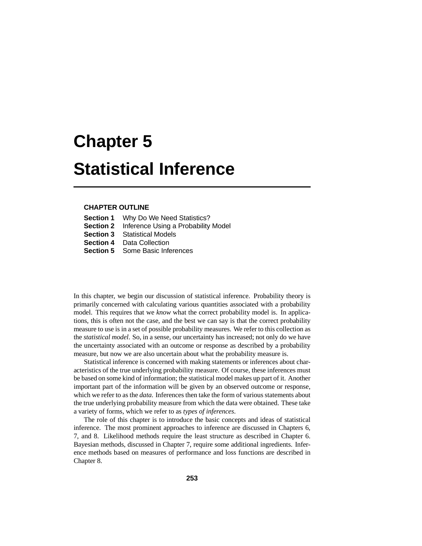# **Chapter 5 Statistical Inference**

#### **CHAPTER OUTLINE**

| <b>Section 1</b> Why Do We Need Statistics?          |
|------------------------------------------------------|
| <b>Section 2</b> Inference Using a Probability Model |
| <b>Section 3</b> Statistical Models                  |
| <b>Section 4</b> Data Collection                     |
| <b>Section 5</b> Some Basic Inferences               |
|                                                      |

In this chapter, we begin our discussion of statistical inference. Probability theory is primarily concerned with calculating various quantities associated with a probability model. This requires that we *know* what the correct probability model is. In applications, this is often not the case, and the best we can say is that the correct probability measure to use is in a set of possible probability measures. We refer to this collection as the *statistical model*. So, in a sense, our uncertainty has increased; not only do we have the uncertainty associated with an outcome or response as described by a probability measure, but now we are also uncertain about what the probability measure is.

Statistical inference is concerned with making statements or inferences about characteristics of the true underlying probability measure. Of course, these inferences must be based on some kind of information; the statistical model makes up part of it. Another important part of the information will be given by an observed outcome or response, which we refer to as the *data*. Inferences then take the form of various statements about the true underlying probability measure from which the data were obtained. These take a variety of forms, which we refer to as *types of inferences*.

The role of this chapter is to introduce the basic concepts and ideas of statistical inference. The most prominent approaches to inference are discussed in Chapters 6, 7, and 8. Likelihood methods require the least structure as described in Chapter 6. Bayesian methods, discussed in Chapter 7, require some additional ingredients. Inference methods based on measures of performance and loss functions are described in Chapter 8.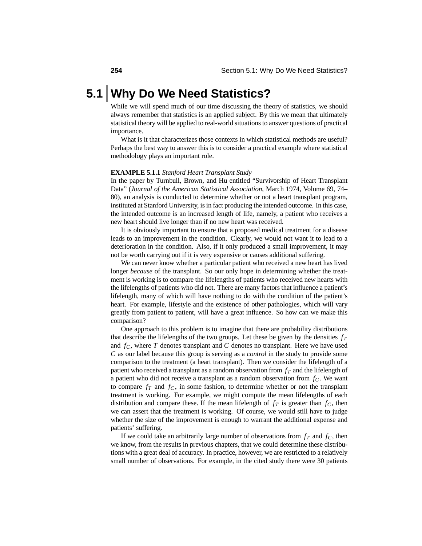## **5.1 Why Do We Need Statistics?**

While we will spend much of our time discussing the theory of statistics, we should always remember that statistics is an applied subject. By this we mean that ultimately statistical theory will be applied to real-world situations to answer questions of practical importance.

What is it that characterizes those contexts in which statistical methods are useful? Perhaps the best way to answer this is to consider a practical example where statistical methodology plays an important role.

#### **EXAMPLE 5.1.1** *Stanford Heart Transplant Study*

In the paper by Turnbull, Brown, and Hu entitled "Survivorship of Heart Transplant Data" (*Journal of the American Statistical Association*, March 1974, Volume 69, 74– 80), an analysis is conducted to determine whether or not a heart transplant program, instituted at Stanford University, is in fact producing the intended outcome. In this case, the intended outcome is an increased length of life, namely, a patient who receives a new heart should live longer than if no new heart was received.

It is obviously important to ensure that a proposed medical treatment for a disease leads to an improvement in the condition. Clearly, we would not want it to lead to a deterioration in the condition. Also, if it only produced a small improvement, it may not be worth carrying out if it is very expensive or causes additional suffering.

We can never know whether a particular patient who received a new heart has lived longer *because* of the transplant. So our only hope in determining whether the treatment is working is to compare the lifelengths of patients who received new hearts with the lifelengths of patients who did not. There are many factors that influence a patient's lifelength, many of which will have nothing to do with the condition of the patient's heart. For example, lifestyle and the existence of other pathologies, which will vary greatly from patient to patient, will have a great influence. So how can we make this comparison?

One approach to this problem is to imagine that there are probability distributions that describe the lifelengths of the two groups. Let these be given by the densities  $f<sub>T</sub>$ and  $f_C$ , where  $T$  denotes transplant and  $C$  denotes no transplant. Here we have used *C* as our label because this group is serving as a *control* in the study to provide some comparison to the treatment (a heart transplant). Then we consider the lifelength of a patient who received a transplant as a random observation from  $f<sub>T</sub>$  and the lifelength of a patient who did not receive a transplant as a random observation from  $f<sub>C</sub>$ . We want to compare  $f_T$  and  $f_C$ , in some fashion, to determine whether or not the transplant treatment is working. For example, we might compute the mean lifelengths of each distribution and compare these. If the mean lifelength of  $f<sub>T</sub>$  is greater than  $f<sub>C</sub>$ , then we can assert that the treatment is working. Of course, we would still have to judge whether the size of the improvement is enough to warrant the additional expense and patients' suffering.

If we could take an arbitrarily large number of observations from  $f<sub>T</sub>$  and  $f<sub>C</sub>$ , then we know, from the results in previous chapters, that we could determine these distributions with a great deal of accuracy. In practice, however, we are restricted to a relatively small number of observations. For example, in the cited study there were 30 patients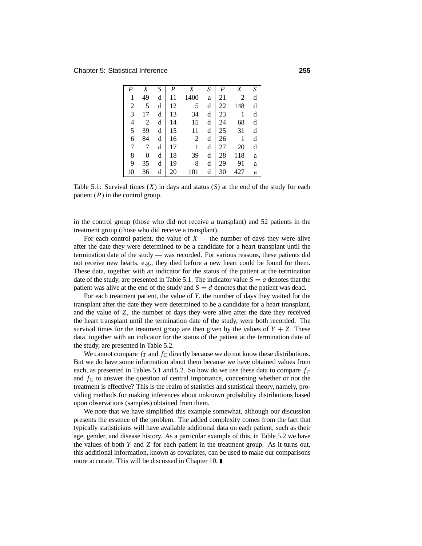| P  | Χ  | S | P  | $\boldsymbol{X}$ | S | P  | X   | S |
|----|----|---|----|------------------|---|----|-----|---|
|    | 49 | d |    | 1400             | a | 21 | 2   | d |
| 2  | 5  | d | 12 | 5                | d | 22 | 148 | d |
| 3  | 17 | d | 13 | 34               | d | 23 | 1   | d |
| 4  | 2  | d | 14 | 15               | d | 24 | 68  | d |
| 5  | 39 | d | 15 | 11               | d | 25 | 31  | d |
| 6  | 84 | d | 16 | 2                | d | 26 | 1   | d |
| 7  | 7  | d | 17 | 1                | d | 27 | 20  | d |
| 8  | 0  | d | 18 | 39               | d | 28 | 118 | a |
| 9  | 35 | d | 19 | 8                | d | 29 | 91  | a |
| 10 | 36 | d | 20 | 101              | d | 30 |     | a |

Table 5.1: Survival times (*X*) in days and status (*S*) at the end of the study for each patient (*P*) in the control group.

in the control group (those who did not receive a transplant) and 52 patients in the treatment group (those who did receive a transplant).

For each control patient, the value of  $X$  — the number of days they were alive after the date they were determined to be a candidate for a heart transplant until the termination date of the study — was recorded. For various reasons, these patients did not receive new hearts, e.g., they died before a new heart could be found for them. These data, together with an indicator for the status of the patient at the termination date of the study, are presented in Table 5.1. The indicator value  $S = a$  denotes that the patient was alive at the end of the study and  $S = d$  denotes that the patient was dead.

For each treatment patient, the value of *Y*, the number of days they waited for the transplant after the date they were determined to be a candidate for a heart transplant, and the value of *Z*, the number of days they were alive after the date they received the heart transplant until the termination date of the study, were both recorded. The survival times for the treatment group are then given by the values of  $Y + Z$ . These data, together with an indicator for the status of the patient at the termination date of the study, are presented in Table 5.2.

We cannot compare  $f_T$  and  $f_C$  directly because we do not know these distributions. But we do have some information about them because we have obtained values from each, as presented in Tables 5.1 and 5.2. So how do we use these data to compare  $f_T$ and  $f_C$  to answer the question of central importance, concerning whether or not the treatment is effective? This is the realm of statistics and statistical theory, namely, providing methods for making inferences about unknown probability distributions based upon observations (samples) obtained from them.

We note that we have simplified this example somewhat, although our discussion presents the essence of the problem. The added complexity comes from the fact that typically statisticians will have available additional data on each patient, such as their age, gender, and disease history. As a particular example of this, in Table 5.2 we have the values of both *Y* and *Z* for each patient in the treatment group. As it turns out, this additional information, known as covariates, can be used to make our comparisons more accurate. This will be discussed in Chapter 10.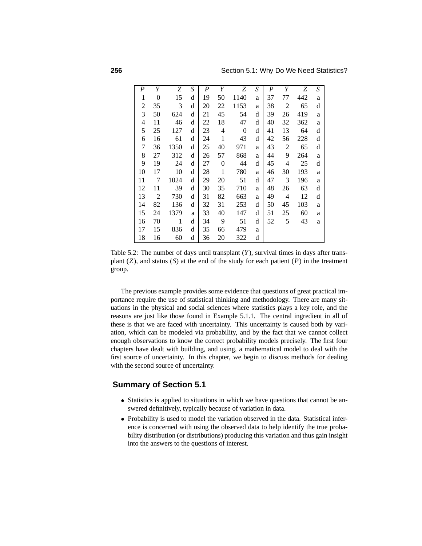| P      | Y              | Ζ    | S | P  | Y                | Ζ                | S | $\boldsymbol{P}$ | Y              | Ζ   | S |
|--------|----------------|------|---|----|------------------|------------------|---|------------------|----------------|-----|---|
| 1      | $\overline{0}$ | 15   | d | 19 | 50               | 1140             | a | 37               | 77             | 442 | a |
| 2      | 35             | 3    | d | 20 | 22               | 1153             | a | 38               | 2              | 65  | d |
| 3      | 50             | 624  | d | 21 | 45               | 54               | d | 39               | 26             | 419 | a |
| 4      | 11             | 46   | d | 22 | 18               | 47               | d | 40               | 32             | 362 | a |
| 5      | 25             | 127  | d | 23 | 4                | $\boldsymbol{0}$ | d | 41               | 13             | 64  | d |
| 6      | 16             | 61   | d | 24 | $\mathbf{1}$     | 43               | d | 42               | 56             | 228 | d |
| $\tau$ | 36             | 1350 | d | 25 | 40               | 971              | a | 43               | $\overline{c}$ | 65  | d |
| 8      | 27             | 312  | d | 26 | 57               | 868              | a | 44               | 9              | 264 | a |
| 9      | 19             | 24   | d | 27 | $\boldsymbol{0}$ | 44               | d | 45               | $\overline{4}$ | 25  | d |
| 10     | 17             | 10   | d | 28 | 1                | 780              | a | 46               | 30             | 193 | a |
| 11     | 7              | 1024 | d | 29 | 20               | 51               | d | 47               | 3              | 196 | a |
| 12     | 11             | 39   | d | 30 | 35               | 710              | a | 48               | 26             | 63  | d |
| 13     | $\overline{c}$ | 730  | d | 31 | 82               | 663              | a | 49               | 4              | 12  | d |
| 14     | 82             | 136  | d | 32 | 31               | 253              | d | 50               | 45             | 103 | a |
| 15     | 24             | 1379 | a | 33 | 40               | 147              | d | 51               | 25             | 60  | a |
| 16     | 70             | 1    | d | 34 | 9                | 51               | d | 52               | 5              | 43  | a |
| 17     | 15             | 836  | d | 35 | 66               | 479              | a |                  |                |     |   |
| 18     | 16             | 60   | d | 36 | 20               | 322              | d |                  |                |     |   |

Table 5.2: The number of days until transplant (*Y*), survival times in days after transplant (*Z*), and status (*S*) at the end of the study for each patient (*P*) in the treatment group.

The previous example provides some evidence that questions of great practical importance require the use of statistical thinking and methodology. There are many situations in the physical and social sciences where statistics plays a key role, and the reasons are just like those found in Example 5.1.1. The central ingredient in all of these is that we are faced with uncertainty. This uncertainty is caused both by variation, which can be modeled via probability, and by the fact that we cannot collect enough observations to know the correct probability models precisely. The first four chapters have dealt with building, and using, a mathematical model to deal with the first source of uncertainty. In this chapter, we begin to discuss methods for dealing with the second source of uncertainty.

#### **Summary of Section 5.1**

- Statistics is applied to situations in which we have questions that cannot be answered definitively, typically because of variation in data.
- Probability is used to model the variation observed in the data. Statistical inference is concerned with using the observed data to help identify the true probability distribution (or distributions) producing this variation and thus gain insight into the answers to the questions of interest.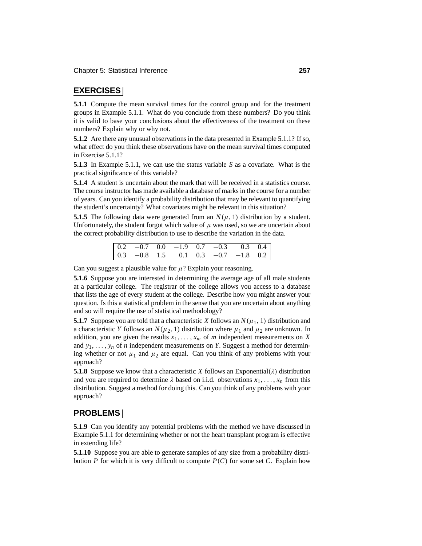#### **EXERCISES**

**5.1.1** Compute the mean survival times for the control group and for the treatment groups in Example 5.1.1. What do you conclude from these numbers? Do you think it is valid to base your conclusions about the effectiveness of the treatment on these numbers? Explain why or why not.

**5.1.2** Are there any unusual observations in the data presented in Example 5.1.1? If so, what effect do you think these observations have on the mean survival times computed in Exercise 5.1.1?

**5.1.3** In Example 5.1.1, we can use the status variable *S* as a covariate. What is the practical significance of this variable?

**5.1.4** A student is uncertain about the mark that will be received in a statistics course. The course instructor has made available a database of marks in the course for a number of years. Can you identify a probability distribution that may be relevant to quantifying the student's uncertainty? What covariates might be relevant in this situation?

**5.1.5** The following data were generated from an  $N(\mu, 1)$  distribution by a student. Unfortunately, the student forgot which value of  $\mu$  was used, so we are uncertain about the correct probability distribution to use to describe the variation in the data.

| $\begin{bmatrix} 0.2 & -0.7 & 0.0 & -1.9 & 0.7 & -0.3 & 0.3 & 0.4 \\ 0.3 & -0.8 & 1.5 & 0.1 & 0.3 & -0.7 & -1.8 & 0.2 \end{bmatrix}$ |  |  |  |
|--------------------------------------------------------------------------------------------------------------------------------------|--|--|--|

Can you suggest a plausible value for  $\mu$ ? Explain your reasoning.

**5.1.6** Suppose you are interested in determining the average age of all male students at a particular college. The registrar of the college allows you access to a database that lists the age of every student at the college. Describe how you might answer your question. Is this a statistical problem in the sense that you are uncertain about anything and so will require the use of statistical methodology?

**5.1.7** Suppose you are told that a characteristic X follows an  $N(\mu_1, 1)$  distribution and a characteristic *Y* follows an  $N(\mu_2, 1)$  distribution where  $\mu_1$  and  $\mu_2$  are unknown. In addition, you are given the results  $x_1, \ldots, x_m$  of *m* independent measurements on *X* and  $y_1, \ldots, y_n$  of *n* independent measurements on *Y*. Suggest a method for determining whether or not  $\mu_1$  and  $\mu_2$  are equal. Can you think of any problems with your approach?

**5.1.8** Suppose we know that a characteristic *X* follows an Exponential( $\lambda$ ) distribution and you are required to determine  $\lambda$  based on i.i.d. observations  $x_1, \ldots, x_n$  from this distribution. Suggest a method for doing this. Can you think of any problems with your approach?

#### **PROBLEMS**

**5.1.9** Can you identify any potential problems with the method we have discussed in Example 5.1.1 for determining whether or not the heart transplant program is effective in extending life?

**5.1.10** Suppose you are able to generate samples of any size from a probability distribution *P* for which it is very difficult to compute  $P(C)$  for some set *C*. Explain how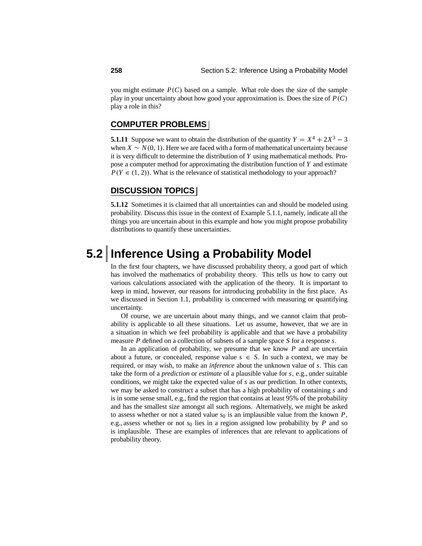you might estimate  $P(C)$  based on a sample. What role does the size of the sample play in your uncertainty about how good your approximation is. Does the size of *P*(*C*) play a role in this?

#### **COMPUTER PROBLEMS**

**5.1.11** Suppose we want to obtain the distribution of the quantity  $Y = X^4 + 2X^3 - 3$ when  $X \sim N(0, 1)$ . Here we are faced with a form of mathematical uncertainty because it is very difficult to determine the distribution of *Y* using mathematical methods. Propose a computer method for approximating the distribution function of *Y* and estimate  $P(Y \in (1, 2))$ . What is the relevance of statistical methodology to your approach?

#### **DISCUSSION TOPICS**

**5.1.12** Sometimes it is claimed that all uncertainties can and should be modeled using probability. Discuss this issue in the context of Example 5.1.1, namely, indicate all the things you are uncertain about in this example and how you might propose probability distributions to quantify these uncertainties.

## **5.2 Inference Using a Probability Model**

In the first four chapters, we have discussed probability theory, a good part of which has involved the mathematics of probability theory. This tells us how to carry out various calculations associated with the application of the theory. It is important to keep in mind, however, our reasons for introducing probability in the first place. As we discussed in Section 1.1, probability is concerned with measuring or quantifying uncertainty.

Of course, we are uncertain about many things, and we cannot claim that probability is applicable to all these situations. Let us assume, however, that we are in a situation in which we feel probability is applicable and that we have a probability measure *P* defined on a collection of subsets of a sample space *S* for a response *s*.

In an application of probability, we presume that we know *P* and are uncertain about a future, or concealed, response value  $s \in S$ . In such a context, we may be required, or may wish, to make an *inference* about the unknown value of *s*. This can take the form of a *prediction* or *estimate* of a plausible value for *s*, e.g., under suitable conditions, we might take the expected value of *s* as our prediction. In other contexts, we may be asked to construct a subset that has a high probability of containing *s* and is in some sense small, e.g., find the region that contains at least 95% of the probability and has the smallest size amongst all such regions. Alternatively, we might be asked to assess whether or not a stated value  $s_0$  is an implausible value from the known  $P$ , e.g., assess whether or not *s*<sup>0</sup> lies in a region assigned low probability by *P* and so is implausible. These are examples of inferences that are relevant to applications of probability theory.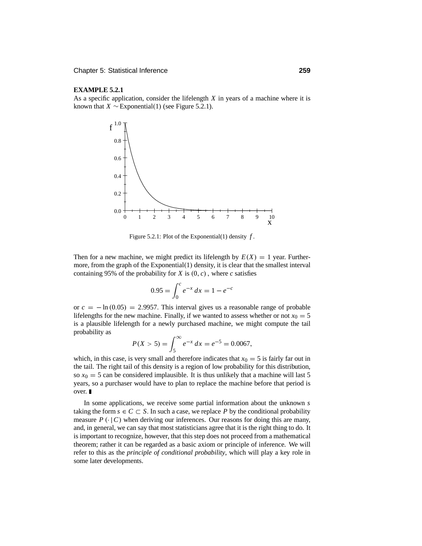#### **EXAMPLE 5.2.1**

As a specific application, consider the lifelength *X* in years of a machine where it is known that *X*  $\sim$  Exponential(1) (see Figure 5.2.1).



Figure 5.2.1: Plot of the Exponential(1) density *f* .

Then for a new machine, we might predict its lifelength by  $E(X) = 1$  year. Furthermore, from the graph of the Exponential(1) density, it is clear that the smallest interval containing 95% of the probability for *X* is  $(0, c)$ , where *c* satisfies

$$
0.95 = \int_0^c e^{-x} dx = 1 - e^{-c}
$$

or  $c = -\ln(0.05) = 2.9957$ . This interval gives us a reasonable range of probable lifelengths for the new machine. Finally, if we wanted to assess whether or not  $x_0 = 5$ is a plausible lifelength for a newly purchased machine, we might compute the tail probability as

$$
P(X > 5) = \int_{5}^{\infty} e^{-x} dx = e^{-5} = 0.0067,
$$

which, in this case, is very small and therefore indicates that  $x_0 = 5$  is fairly far out in the tail. The right tail of this density is a region of low probability for this distribution, so  $x_0 = 5$  can be considered implausible. It is thus unlikely that a machine will last 5 years, so a purchaser would have to plan to replace the machine before that period is over.

In some applications, we receive some partial information about the unknown *s* taking the form  $s \in C \subset S$ . In such a case, we replace P by the conditional probability measure  $P(\cdot | C)$  when deriving our inferences. Our reasons for doing this are many, and, in general, we can say that most statisticians agree that it is the right thing to do. It is important to recognize, however, that this step does not proceed from a mathematical theorem; rather it can be regarded as a basic axiom or principle of inference. We will refer to this as the *principle of conditional probability*, which will play a key role in some later developments.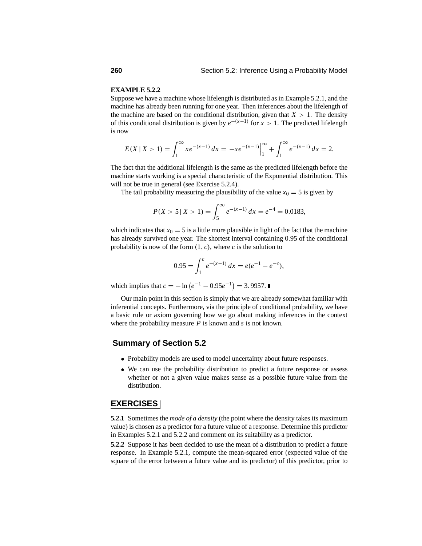#### **EXAMPLE 5.2.2**

Suppose we have a machine whose lifelength is distributed as in Example 5.2.1, and the machine has already been running for one year. Then inferences about the lifelength of the machine are based on the conditional distribution, given that  $X > 1$ . The density of this conditional distribution is given by  $e^{-(x-1)}$  for  $x > 1$ . The predicted lifelength is now

$$
E(X \mid X > 1) = \int_{1}^{\infty} x e^{-(x-1)} \, dx = -x e^{-(x-1)} \Big|_{1}^{\infty} + \int_{1}^{\infty} e^{-(x-1)} \, dx = 2.
$$

The fact that the additional lifelength is the same as the predicted lifelength before the machine starts working is a special characteristic of the Exponential distribution. This will not be true in general (see Exercise 5.2.4).

The tail probability measuring the plausibility of the value  $x_0 = 5$  is given by

$$
P(X > 5 | X > 1) = \int_5^{\infty} e^{-(x-1)} dx = e^{-4} = 0.0183,
$$

which indicates that  $x_0 = 5$  is a little more plausible in light of the fact that the machine has already survived one year. The shortest interval containing 0.95 of the conditional probability is now of the form  $(1, c)$ , where *c* is the solution to

$$
0.95 = \int_1^c e^{-(x-1)} dx = e(e^{-1} - e^{-c}),
$$

which implies that  $c = -\ln(e^{-1} - 0.95e^{-1}) = 3.9957$ .

Our main point in this section is simply that we are already somewhat familiar with inferential concepts. Furthermore, via the principle of conditional probability, we have a basic rule or axiom governing how we go about making inferences in the context where the probability measure *P* is known and *s* is not known.

#### **Summary of Section 5.2**

- Probability models are used to model uncertainty about future responses.
- We can use the probability distribution to predict a future response or assess whether or not a given value makes sense as a possible future value from the distribution.

#### **EXERCISES**

**5.2.1** Sometimes the *mode of a density* (the point where the density takes its maximum value) is chosen as a predictor for a future value of a response. Determine this predictor in Examples 5.2.1 and 5.2.2 and comment on its suitability as a predictor.

**5.2.2** Suppose it has been decided to use the mean of a distribution to predict a future response. In Example 5.2.1, compute the mean-squared error (expected value of the square of the error between a future value and its predictor) of this predictor, prior to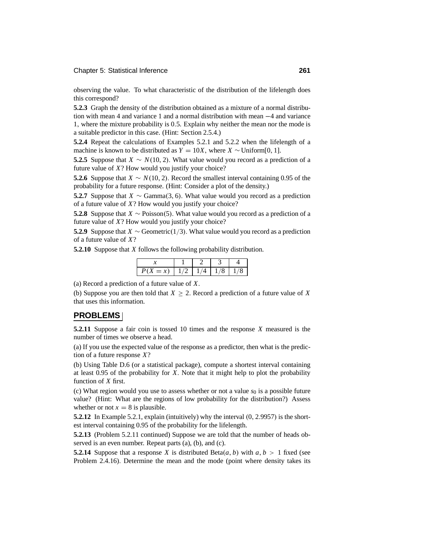observing the value. To what characteristic of the distribution of the lifelength does this correspond?

**5.2.3** Graph the density of the distribution obtained as a mixture of a normal distribution with mean 4 and variance 1 and a normal distribution with mean <sup>−</sup>4 and variance 1, where the mixture probability is 0.5. Explain why neither the mean nor the mode is a suitable predictor in this case. (Hint: Section 2.5.4.)

**5.2.4** Repeat the calculations of Examples 5.2.1 and 5.2.2 when the lifelength of a machine is known to be distributed as  $Y = 10X$ , where  $X \sim$  Uniform[0, 1].

**5.2.5** Suppose that  $X \sim N(10, 2)$ . What value would you record as a prediction of a future value of *X*? How would you justify your choice?

**5.2.6** Suppose that  $X \sim N(10, 2)$ . Record the smallest interval containing 0.95 of the probability for a future response. (Hint: Consider a plot of the density.)

**5.2.7** Suppose that *X* ∼ Gamma(3, 6). What value would you record as a prediction of a future value of *X*? How would you justify your choice?

**5.2.8** Suppose that *<sup>X</sup>* <sup>∼</sup> Poisson(5). What value would you record as a prediction of a future value of *X*? How would you justify your choice?

**5.2.9** Suppose that *X* ∼ Geometric( $1/3$ ). What value would you record as a prediction of a future value of *X*?

**5.2.10** Suppose that *X* follows the following probability distribution.

(a) Record a prediction of a future value of *X*.

(b) Suppose you are then told that *<sup>X</sup>* <sup>≥</sup> <sup>2</sup>. Record a prediction of a future value of *<sup>X</sup>* that uses this information.

### **PROBLEMS**

**5.2.11** Suppose a fair coin is tossed 10 times and the response *X* measured is the number of times we observe a head.

(a) If you use the expected value of the response as a predictor, then what is the prediction of a future response *X*?

(b) Using Table D.6 (or a statistical package), compute a shortest interval containing at least 0.95 of the probability for *X*. Note that it might help to plot the probability function of *X* first.

(c) What region would you use to assess whether or not a value  $s_0$  is a possible future value? (Hint: What are the regions of low probability for the distribution?) Assess whether or not  $x = 8$  is plausible.

**5.2.12** In Example 5.2.1, explain (intuitively) why the interval  $(0, 2.9957)$  is the shortest interval containing 0.95 of the probability for the lifelength.

**5.2.13** (Problem 5.2.11 continued) Suppose we are told that the number of heads observed is an even number. Repeat parts (a), (b), and (c).

**5.2.14** Suppose that a response *X* is distributed Beta $(a, b)$  with  $a, b > 1$  fixed (see Problem 2.4.16). Determine the mean and the mode (point where density takes its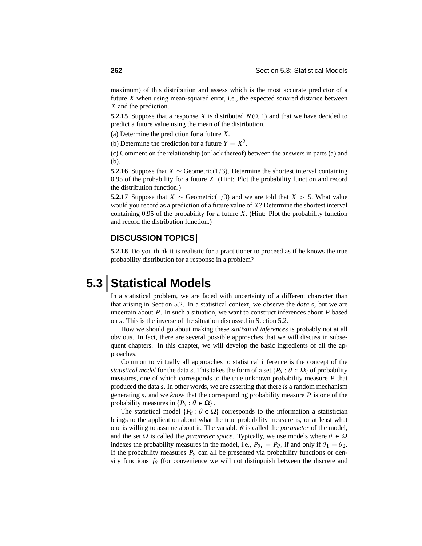maximum) of this distribution and assess which is the most accurate predictor of a future *X* when using mean-squared error, i.e., the expected squared distance between *X* and the prediction.

**5.2.15** Suppose that a response *X* is distributed *N*(0, 1) and that we have decided to predict a future value using the mean of the distribution.

(a) Determine the prediction for a future *X*.

(b) Determine the prediction for a future  $Y = X^2$ .

(c) Comment on the relationship (or lack thereof) between the answers in parts (a) and (b).

**5.2.16** Suppose that *X* ∼ Geometric(1/3). Determine the shortest interval containing 0.95 of the probability for a future *X*. (Hint: Plot the probability function and record the distribution function.)

**5.2.17** Suppose that *X* ∼ Geometric( $1/3$ ) and we are told that *X* > 5. What value would you record as a prediction of a future value of *X*? Determine the shortest interval containing 0.95 of the probability for a future *X*. (Hint: Plot the probability function and record the distribution function.)

#### **DISCUSSION TOPICS**

**5.2.18** Do you think it is realistic for a practitioner to proceed as if he knows the true probability distribution for a response in a problem?

## **5.3 Statistical Models**

In a statistical problem, we are faced with uncertainty of a different character than that arising in Section 5.2. In a statistical context, we observe the *data s*, but we are uncertain about *P*. In such a situation, we want to construct inferences about *P* based on *s*. This is the inverse of the situation discussed in Section 5.2.

How we should go about making these *statistical inferences* is probably not at all obvious. In fact, there are several possible approaches that we will discuss in subsequent chapters. In this chapter, we will develop the basic ingredients of all the approaches.

Common to virtually all approaches to statistical inference is the concept of the *statistical model* for the data *s*. This takes the form of a set { $P_{\theta}$  :  $\theta \in \Omega$ } of probability measures, one of which corresponds to the true unknown probability measure *P* that produced the data *s*. In other words, we are asserting that there *is* a random mechanism generating *s*, and we *know* that the corresponding probability measure *P* is one of the probability measures in  $\{P_{\theta} : \theta \in \Omega\}$ .

The statistical model  $\{P_{\theta} : \theta \in \Omega\}$  corresponds to the information a statistician brings to the application about what the true probability measure is, or at least what one is willing to assume about it. The variable  $\theta$  is called the *parameter* of the model, and the set  $\Omega$  is called the *parameter space*. Typically, we use models where  $\theta \in \Omega$ indexes the probability measures in the model, i.e.,  $P_{\theta_1} = P_{\theta_2}$  if and only if  $\theta_1 = \theta_2$ . If the probability measures  $P_{\theta}$  can all be presented via probability functions or density functions  $f_{\theta}$  (for convenience we will not distinguish between the discrete and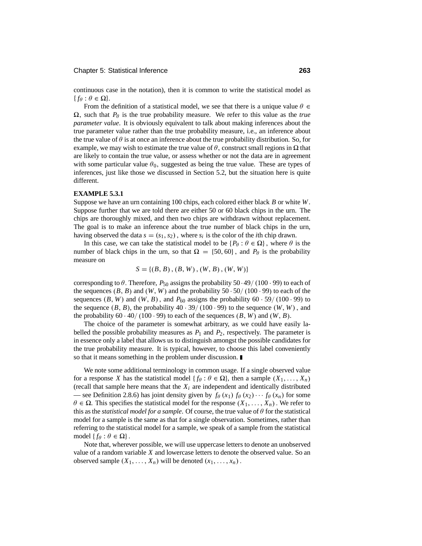continuous case in the notation), then it is common to write the statistical model as  ${f_{\theta}: \theta \in \Omega}.$ 

From the definition of a statistical model, we see that there is a unique value  $\theta \in$  $\Omega$ , such that  $P_{\theta}$  is the true probability measure. We refer to this value as the *true parameter value*. It is obviously equivalent to talk about making inferences about the true parameter value rather than the true probability measure, i.e., an inference about the true value of  $\theta$  is at once an inference about the true probability distribution. So, for example, we may wish to estimate the true value of  $\theta$ , construct small regions in  $\Omega$  that are likely to contain the true value, or assess whether or not the data are in agreement with some particular value  $\theta_0$ , suggested as being the true value. These are types of inferences, just like those we discussed in Section 5.2, but the situation here is quite different.

#### **EXAMPLE 5.3.1**

Suppose we have an urn containing 100 chips, each colored either black *B* or white *W*. Suppose further that we are told there are either 50 or 60 black chips in the urn. The chips are thoroughly mixed, and then two chips are withdrawn without replacement. The goal is to make an inference about the true number of black chips in the urn, having observed the data  $s = (s_1, s_2)$ , where  $s_i$  is the color of the *i*th chip drawn.

In this case, we can take the statistical model to be  $\{P_{\theta} : \theta \in \Omega\}$ , where  $\theta$  is the number of black chips in the urn, so that  $\Omega = \{50, 60\}$ , and  $P_{\theta}$  is the probability measure on

$$
S = \{ (B, B), (B, W), (W, B), (W, W) \}
$$

corresponding to  $\theta$ . Therefore,  $P_{50}$  assigns the probability  $50 \cdot 49 / (100 \cdot 99)$  to each of the sequences  $(B, B)$  and  $(W, W)$  and the probability  $50 \cdot 50 / (100 \cdot 99)$  to each of the sequences  $(B, W)$  and  $(W, B)$ , and  $P_{60}$  assigns the probability  $60 \cdot 59 / (100 \cdot 99)$  to the sequence  $(B, B)$ , the probability  $40 \cdot 39 / (100 \cdot 99)$  to the sequence  $(W, W)$ , and the probability  $60 \cdot 40 / (100 \cdot 99)$  to each of the sequences  $(B, W)$  and  $(W, B)$ .

The choice of the parameter is somewhat arbitrary, as we could have easily labelled the possible probability measures as  $P_1$  and  $P_2$ , respectively. The parameter is in essence only a label that allows us to distinguish amongst the possible candidates for the true probability measure. It is typical, however, to choose this label conveniently so that it means something in the problem under discussion.

We note some additional terminology in common usage. If a single observed value for a response *X* has the statistical model { $f_{\theta}: \theta \in \Omega$ }, then a sample  $(X_1, \ldots, X_n)$ (recall that sample here means that the  $X_i$  are independent and identically distributed — see Definition 2.8.6) has joint density given by  $f_{\theta}(x_1) f_{\theta}(x_2) \cdots f_{\theta}(x_n)$  for some  $\theta \in \Omega$ . This specifies the statistical model for the response  $(X_1, \ldots, X_n)$ . We refer to this as the *statistical model for a sample*. Of course, the true value of  $\theta$  for the statistical model for a sample is the same as that for a single observation. Sometimes, rather than referring to the statistical model for a sample, we speak of a sample from the statistical model { $f_{\theta}$  :  $\theta \in \Omega$  }.

Note that, wherever possible, we will use uppercase letters to denote an unobserved value of a random variable *X* and lowercase letters to denote the observed value. So an observed sample  $(X_1, \ldots, X_n)$  will be denoted  $(x_1, \ldots, x_n)$ .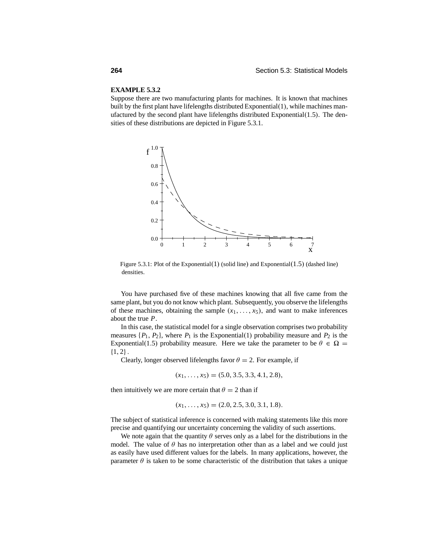#### **EXAMPLE 5.3.2**

Suppose there are two manufacturing plants for machines. It is known that machines built by the first plant have lifelengths distributed Exponential(1), while machines manufactured by the second plant have lifelengths distributed Exponential $(1.5)$ . The densities of these distributions are depicted in Figure 5.3.1.



Figure 5.3.1: Plot of the Exponential(1) (solid line) and Exponential(1.5) (dashed line) densities.

You have purchased five of these machines knowing that all five came from the same plant, but you do not know which plant. Subsequently, you observe the lifelengths of these machines, obtaining the sample  $(x_1, \ldots, x_5)$ , and want to make inferences about the true *P*.

In this case, the statistical model for a single observation comprises two probability measures  $\{P_1, P_2\}$ , where  $P_1$  is the Exponential(1) probability measure and  $P_2$  is the Exponential(1.5) probability measure. Here we take the parameter to be  $\theta \in \Omega =$ {1, <sup>2</sup>}.

Clearly, longer observed lifelengths favor  $\theta = 2$ . For example, if

$$
(x_1,\ldots,x_5)=(5.0,3.5,3.3,4.1,2.8),
$$

then intuitively we are more certain that  $\theta = 2$  than if

$$
(x_1, \ldots, x_5) = (2.0, 2.5, 3.0, 3.1, 1.8).
$$

The subject of statistical inference is concerned with making statements like this more precise and quantifying our uncertainty concerning the validity of such assertions.

We note again that the quantity  $\theta$  serves only as a label for the distributions in the model. The value of  $\theta$  has no interpretation other than as a label and we could just as easily have used different values for the labels. In many applications, however, the parameter  $\theta$  is taken to be some characteristic of the distribution that takes a unique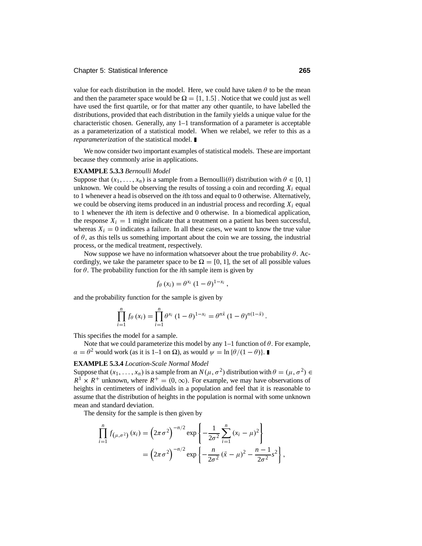value for each distribution in the model. Here, we could have taken  $\theta$  to be the mean and then the parameter space would be  $\Omega = \{1, 1.5\}$ . Notice that we could just as well have used the first quartile, or for that matter any other quantile, to have labelled the distributions, provided that each distribution in the family yields a unique value for the characteristic chosen. Generally, any 1–1 transformation of a parameter is acceptable as a parameterization of a statistical model. When we relabel, we refer to this as a *reparameterization* of the statistical model.

We now consider two important examples of statistical models. These are important because they commonly arise in applications.

#### **EXAMPLE 5.3.3** *Bernoulli Model*

Suppose that  $(x_1, \ldots, x_n)$  is a sample from a Bernoulli $(\theta)$  distribution with  $\theta \in [0, 1]$ unknown. We could be observing the results of tossing a coin and recording  $X_i$  equal to 1 whenever a head is observed on the *i*th toss and equal to 0 otherwise. Alternatively, we could be observing items produced in an industrial process and recording *Xi* equal to 1 whenever the *i*th item is defective and 0 otherwise. In a biomedical application, the response  $X_i = 1$  might indicate that a treatment on a patient has been successful, whereas  $X_i = 0$  indicates a failure. In all these cases, we want to know the true value of  $\theta$ , as this tells us something important about the coin we are tossing, the industrial process, or the medical treatment, respectively.

Now suppose we have no information whatsoever about the true probability  $\theta$ . Accordingly, we take the parameter space to be  $\Omega = [0, 1]$ , the set of all possible values for  $\theta$ . The probability function for the *i*th sample item is given by

$$
f_{\theta}\left(x_i\right) = \theta^{x_i}\left(1-\theta\right)^{1-x_i},
$$

and the probability function for the sample is given by

$$
\prod_{i=1}^{n} f_{\theta}(x_i) = \prod_{i=1}^{n} \theta^{x_i} (1-\theta)^{1-x_i} = \theta^{n\bar{x}} (1-\theta)^{n(1-\bar{x})}.
$$

This specifies the model for a sample.

Note that we could parameterize this model by any 1–1 function of  $\theta$ . For example,  $\alpha = \theta^2$  would work (as it is 1–1 on  $\Omega$ ), as would  $\psi = \ln {\theta/(1 - \theta)}$ .

#### **EXAMPLE 5.3.4** *Location-Scale Normal Model*

Suppose that  $(x_1, \ldots, x_n)$  is a sample from an  $N(\mu, \sigma^2)$  distribution with  $\theta = (\mu, \sigma^2) \in$  $R^1 \times R^+$  unknown, where  $R^+ = (0, \infty)$ . For example, we may have observations of heights in centimeters of individuals in a population and feel that it is reasonable to assume that the distribution of heights in the population is normal with some unknown mean and standard deviation.

The density for the sample is then given by

$$
\prod_{i=1}^{n} f_{(\mu,\sigma^2)}(x_i) = (2\pi \sigma^2)^{-n/2} \exp \left\{-\frac{1}{2\sigma^2} \sum_{i=1}^{n} (x_i - \mu)^2\right\}
$$

$$
= (2\pi \sigma^2)^{-n/2} \exp \left\{-\frac{n}{2\sigma^2} (\bar{x} - \mu)^2 - \frac{n-1}{2\sigma^2} s^2\right\},
$$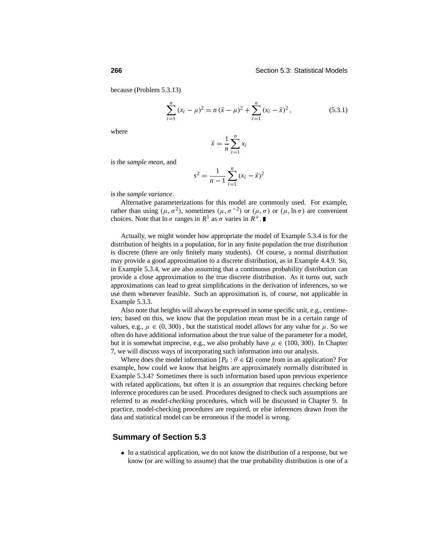because (Problem 5.3.13)

$$
\sum_{i=1}^{n} (x_i - \mu)^2 = n(\bar{x} - \mu)^2 + \sum_{i=1}^{n} (x_i - \bar{x})^2,
$$
 (5.3.1)

where

$$
\bar{x} = \frac{1}{n} \sum_{i=1}^{n} x_i
$$

is the *sample mean*, and

$$
s^{2} = \frac{1}{n-1} \sum_{i=1}^{n} (x_{i} - \bar{x})^{2}
$$

is the *sample variance*.

Alternative parameterizations for this model are commonly used. For example, rather than using  $(\mu, \sigma^2)$ , sometimes  $(\mu, \sigma^{-2})$  or  $(\mu, \sigma)$  or  $(\mu, \ln \sigma)$  are convenient choices. Note that  $\ln \sigma$  ranges in  $R^1$  as  $\sigma$  varies in  $R^+$ .

Actually, we might wonder how appropriate the model of Example 5.3.4 is for the distribution of heights in a population, for in any finite population the true distribution is discrete (there are only finitely many students). Of course, a normal distribution may provide a good approximation to a discrete distribution, as in Example 4.4.9. So, in Example 5.3.4, we are also assuming that a continuous probability distribution can provide a close approximation to the true discrete distribution. As it turns out, such approximations can lead to great simplifications in the derivation of inferences, so we use them whenever feasible. Such an approximation is, of course, not applicable in Example 5.3.3.

Also note that heights will always be expressed in some specific unit, e.g., centimeters; based on this, we know that the population mean must be in a certain range of values, e.g.,  $\mu \in (0, 300)$ , but the statistical model allows for any value for  $\mu$ . So we often do have additional information about the true value of the parameter for a model, but it is somewhat imprecise, e.g., we also probably have  $\mu \in (100, 300)$ . In Chapter 7, we will discuss ways of incorporating such information into our analysis.

Where does the model information  $\{P_{\theta} : \theta \in \Omega\}$  come from in an application? For example, how could we know that heights are approximately normally distributed in Example 5.3.4? Sometimes there is such information based upon previous experience with related applications, but often it is an *assumption* that requires checking before inference procedures can be used. Procedures designed to check such assumptions are referred to as *model-checking* procedures, which will be discussed in Chapter 9. In practice, model-checking procedures are required, or else inferences drawn from the data and statistical model can be erroneous if the model is wrong.

#### **Summary of Section 5.3**

• In a statistical application, we do not know the distribution of a response, but we know (or are willing to assume) that the true probability distribution is one of a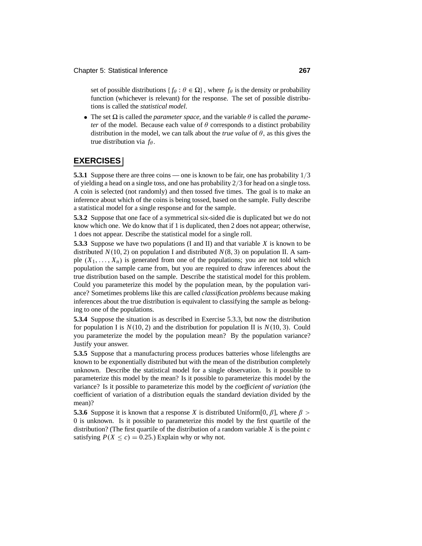set of possible distributions { $f_{\theta}$  :  $\theta \in \Omega$ }, where  $f_{\theta}$  is the density or probability function (whichever is relevant) for the response. The set of possible distributions is called the *statistical model*.

• The set  $\Omega$  is called the *parameter space*, and the variable  $\theta$  is called the *parameter* of the model. Because each value of  $\theta$  corresponds to a distinct probability distribution in the model, we can talk about the *true value* of  $\theta$ , as this gives the true distribution via  $f_{\theta}$ .

### **EXERCISES**

**5.3.1** Suppose there are three coins — one is known to be fair, one has probability  $1/3$ of yielding a head on a single toss, and one has probability 2/3 for head on a single toss. A coin is selected (not randomly) and then tossed five times. The goal is to make an inference about which of the coins is being tossed, based on the sample. Fully describe a statistical model for a single response and for the sample.

**5.3.2** Suppose that one face of a symmetrical six-sided die is duplicated but we do not know which one. We do know that if 1 is duplicated, then 2 does not appear; otherwise, 1 does not appear. Describe the statistical model for a single roll.

**5.3.3** Suppose we have two populations (I and II) and that variable *X* is known to be distributed  $N(10, 2)$  on population I and distributed  $N(8, 3)$  on population II. A sample  $(X_1, \ldots, X_n)$  is generated from one of the populations; you are not told which population the sample came from, but you are required to draw inferences about the true distribution based on the sample. Describe the statistical model for this problem. Could you parameterize this model by the population mean, by the population variance? Sometimes problems like this are called *classification problems* because making inferences about the true distribution is equivalent to classifying the sample as belonging to one of the populations.

**5.3.4** Suppose the situation is as described in Exercise 5.3.3, but now the distribution for population I is  $N(10, 2)$  and the distribution for population II is  $N(10, 3)$ . Could you parameterize the model by the population mean? By the population variance? Justify your answer.

**5.3.5** Suppose that a manufacturing process produces batteries whose lifelengths are known to be exponentially distributed but with the mean of the distribution completely unknown. Describe the statistical model for a single observation. Is it possible to parameterize this model by the mean? Is it possible to parameterize this model by the variance? Is it possible to parameterize this model by the *coefficient of variation* (the coefficient of variation of a distribution equals the standard deviation divided by the mean)?

**5.3.6** Suppose it is known that a response *X* is distributed Uniform[0,  $\beta$ ], where  $\beta$  > 0 is unknown. Is it possible to parameterize this model by the first quartile of the distribution? (The first quartile of the distribution of a random variable *X* is the point *c* satisfying  $P(X \le c) = 0.25$ .) Explain why or why not.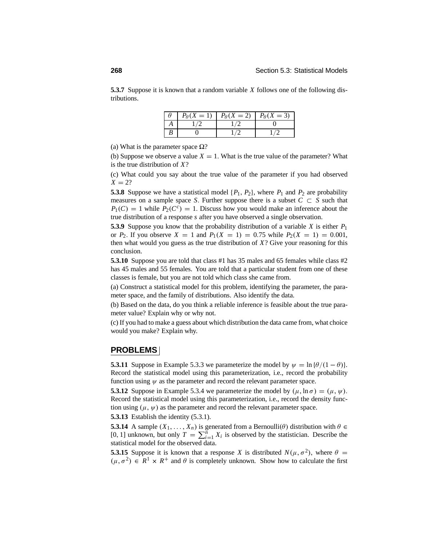**5.3.7** Suppose it is known that a random variable *X* follows one of the following distributions.

| $P_{\theta}(X=1)$ | $P_{\theta}(X=2)$   $P_{\theta}(\overline{X=3})$ |  |
|-------------------|--------------------------------------------------|--|
|                   |                                                  |  |
|                   |                                                  |  |

(a) What is the parameter space  $\Omega$ ?

(b) Suppose we observe a value  $X = 1$ . What is the true value of the parameter? What is the true distribution of *X*?

(c) What could you say about the true value of the parameter if you had observed  $X = 2?$ 

**5.3.8** Suppose we have a statistical model  $\{P_1, P_2\}$ , where  $P_1$  and  $P_2$  are probability measures on a sample space *S*. Further suppose there is a subset  $C \subset S$  such that  $P_1(C) = 1$  while  $P_2(C^c) = 1$ . Discuss how you would make an inference about the true distribution of a response *s* after you have observed a single observation.

**5.3.9** Suppose you know that the probability distribution of a variable *X* is either *P*<sup>1</sup> or  $P_2$ . If you observe  $X = 1$  and  $P_1(X = 1) = 0.75$  while  $P_2(X = 1) = 0.001$ , then what would you guess as the true distribution of *X*? Give your reasoning for this conclusion.

**5.3.10** Suppose you are told that class #1 has 35 males and 65 females while class #2 has 45 males and 55 females. You are told that a particular student from one of these classes is female, but you are not told which class she came from.

(a) Construct a statistical model for this problem, identifying the parameter, the parameter space, and the family of distributions. Also identify the data.

(b) Based on the data, do you think a reliable inference is feasible about the true parameter value? Explain why or why not.

(c) If you had to make a guess about which distribution the data came from, what choice would you make? Explain why.

### **PROBLEMS**

**5.3.11** Suppose in Example 5.3.3 we parameterize the model by  $\psi = \ln {\theta/(1 - \theta)}$ . Record the statistical model using this parameterization, i.e., record the probability function using  $\psi$  as the parameter and record the relevant parameter space.

**5.3.12** Suppose in Example 5.3.4 we parameterize the model by  $(\mu, \ln \sigma) = (\mu, \psi)$ . Record the statistical model using this parameterization, i.e., record the density function using  $(\mu, \psi)$  as the parameter and record the relevant parameter space.

**5.3.13** Establish the identity (5.3.1).

**5.3.14** A sample  $(X_1, \ldots, X_n)$  is generated from a Bernoulli $(\theta)$  distribution with  $\theta \in$ [0, 1] unknown, but only  $T = \sum_{i=1}^{n} X_i$  is observed by the statistician. Describe the statistical model for the observed data.

**5.3.15** Suppose it is known that a response *X* is distributed  $N(\mu, \sigma^2)$ , where  $\theta =$  $(\mu, \sigma^2) \in R^1 \times R^+$  and  $\theta$  is completely unknown. Show how to calculate the first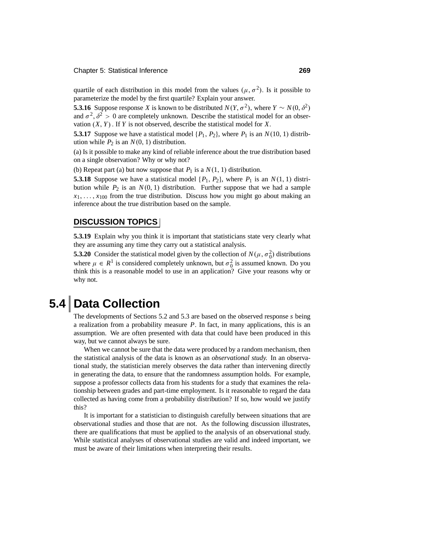quartile of each distribution in this model from the values  $(\mu, \sigma^2)$ . Is it possible to parameterize the model by the first quartile? Explain your answer.

**5.3.16** Suppose response *X* is known to be distributed  $N(Y, \sigma^2)$ , where  $Y \sim N(0, \delta^2)$ and  $\sigma^2$ ,  $\delta^2 > 0$  are completely unknown. Describe the statistical model for an observation (*X*, *Y*). If *Y* is not observed, describe the statistical model for *X*.

**5.3.17** Suppose we have a statistical model  $\{P_1, P_2\}$ , where  $P_1$  is an  $N(10, 1)$  distribution while  $P_2$  is an  $N(0, 1)$  distribution.

(a) Is it possible to make any kind of reliable inference about the true distribution based on a single observation? Why or why not?

(b) Repeat part (a) but now suppose that  $P_1$  is a  $N(1, 1)$  distribution.

**5.3.18** Suppose we have a statistical model  $\{P_1, P_2\}$ , where  $P_1$  is an  $N(1, 1)$  distribution while  $P_2$  is an  $N(0, 1)$  distribution. Further suppose that we had a sample  $x_1, \ldots, x_{100}$  from the true distribution. Discuss how you might go about making an inference about the true distribution based on the sample.

### **DISCUSSION TOPICS**

**5.3.19** Explain why you think it is important that statisticians state very clearly what they are assuming any time they carry out a statistical analysis.

**5.3.20** Consider the statistical model given by the collection of  $N(\mu, \sigma_0^2)$  distributions where  $\mu \in R^1$  is considered completely unknown, but  $\sigma_0^2$  is assumed known. Do you think this is a reasonable model to use in an application? Give your reasons why or why not.

## **5.4 Data Collection**

The developments of Sections 5.2 and 5.3 are based on the observed response *s* being a realization from a probability measure *P*. In fact, in many applications, this is an assumption. We are often presented with data that could have been produced in this way, but we cannot always be sure.

When we cannot be sure that the data were produced by a random mechanism, then the statistical analysis of the data is known as an *observational study.* In an observational study, the statistician merely observes the data rather than intervening directly in generating the data, to ensure that the randomness assumption holds. For example, suppose a professor collects data from his students for a study that examines the relationship between grades and part-time employment. Is it reasonable to regard the data collected as having come from a probability distribution? If so, how would we justify this?

It is important for a statistician to distinguish carefully between situations that are observational studies and those that are not. As the following discussion illustrates, there are qualifications that must be applied to the analysis of an observational study. While statistical analyses of observational studies are valid and indeed important, we must be aware of their limitations when interpreting their results.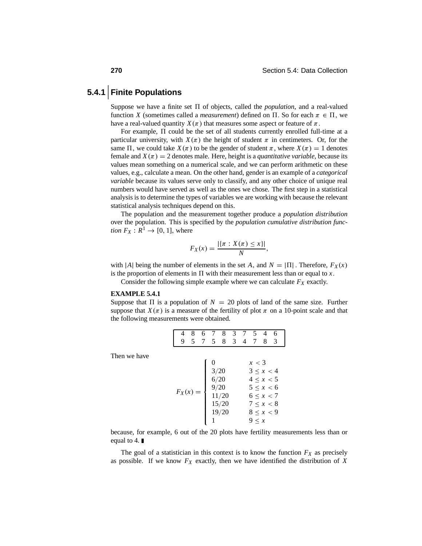### **5.4.1 Finite Populations**

Suppose we have a finite set 1 of objects, called the *population*, and a real-valued function *X* (sometimes called a *measurement*) defined on  $\Pi$ . So for each  $\pi \in \Pi$ , we have a real-valued quantity  $X(\pi)$  that measures some aspect or feature of  $\pi$ .

For example,  $\Pi$  could be the set of all students currently enrolled full-time at a particular university, with  $X(\pi)$  the height of student  $\pi$  in centimeters. Or, for the same  $\Pi$ , we could take  $X(\pi)$  to be the gender of student  $\pi$ , where  $X(\pi) = 1$  denotes female and  $X(\pi) = 2$  denotes male. Here, height is a *quantitative variable*, because its values mean something on a numerical scale, and we can perform arithmetic on these values, e.g., calculate a mean. On the other hand, gender is an example of a *categorical variable* because its values serve only to classify, and any other choice of unique real numbers would have served as well as the ones we chose. The first step in a statistical analysis is to determine the types of variables we are working with because the relevant statistical analysis techniques depend on this.

The population and the measurement together produce a *population distribution* over the population. This is specified by the *population cumulative distribution function*  $F_X: R^1 \to [0, 1]$ , where

$$
F_X(x) = \frac{|\{\pi : X(\pi) \le x\}|}{N},
$$

with |*A*| being the number of elements in the set *A*, and  $N = |\Pi|$ . Therefore,  $F_X(x)$ is the proportion of elements in  $\Pi$  with their measurement less than or equal to *x*.

Consider the following simple example where we can calculate  $F_X$  exactly.

#### **EXAMPLE 5.4.1**

Suppose that  $\Pi$  is a population of  $N = 20$  plots of land of the same size. Further suppose that  $X(\pi)$  is a measure of the fertility of plot  $\pi$  on a 10-point scale and that the following measurements were obtained.

| 4 8 6 7 8 3 7 5 4 6 |  |  |  |                     |  |
|---------------------|--|--|--|---------------------|--|
|                     |  |  |  | 9 5 7 5 8 3 4 7 8 3 |  |

Then we have

because, for example, 6 out of the 20 plots have fertility measurements less than or equal to 4.  $\blacksquare$ 

The goal of a statistician in this context is to know the function  $F_X$  as precisely as possible. If we know  $F_X$  exactly, then we have identified the distribution of  $X$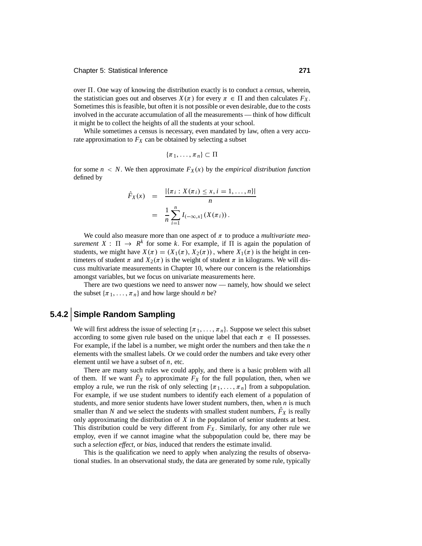over 1. One way of knowing the distribution exactly is to conduct a *census*, wherein, the statistician goes out and observes  $X(\pi)$  for every  $\pi \in \Pi$  and then calculates  $F_X$ . Sometimes this is feasible, but often it is not possible or even desirable, due to the costs involved in the accurate accumulation of all the measurements — think of how difficult it might be to collect the heights of all the students at your school.

While sometimes a census is necessary, even mandated by law, often a very accurate approximation to  $F_X$  can be obtained by selecting a subset

$$
\{\pi_1,\ldots,\pi_n\}\subset\Pi
$$

for some  $n < N$ . We then approximate  $F_X(x)$  by the *empirical distribution function* defined by

$$
\hat{F}_X(x) = \frac{|\{\pi_i : X(\pi_i) \le x, i = 1, ..., n\}|}{n}
$$
\n
$$
= \frac{1}{n} \sum_{i=1}^n I_{(-\infty, x]}(X(\pi_i)).
$$

We could also measure more than one aspect of  $\pi$  to produce a *multivariate measurement*  $X : \Pi \to \mathbb{R}^k$  for some k. For example, if  $\Pi$  is again the population of students, we might have  $X(\pi) = (X_1(\pi), X_2(\pi))$ , where  $X_1(\pi)$  is the height in centimeters of student  $\pi$  and  $X_2(\pi)$  is the weight of student  $\pi$  in kilograms. We will discuss multivariate measurements in Chapter 10, where our concern is the relationships amongst variables, but we focus on univariate measurements here.

There are two questions we need to answer now — namely, how should we select the subset  $\{\pi_1, \ldots, \pi_n\}$  and how large should *n* be?

### **5.4.2 Simple Random Sampling**

We will first address the issue of selecting  $\{\pi_1, \ldots, \pi_n\}$ . Suppose we select this subset according to some given rule based on the unique label that each  $\pi \in \Pi$  possesses. For example, if the label is a number, we might order the numbers and then take the *n* elements with the smallest labels. Or we could order the numbers and take every other element until we have a subset of *n*, etc.

There are many such rules we could apply, and there is a basic problem with all of them. If we want  $F_X$  to approximate  $F_X$  for the full population, then, when we employ a rule, we run the risk of only selecting  $\{\pi_1, \ldots, \pi_n\}$  from a subpopulation. For example, if we use student numbers to identify each element of a population of students, and more senior students have lower student numbers, then, when *n* is much smaller than *N* and we select the students with smallest student numbers,  $F_X$  is really only approximating the distribution of *X* in the population of senior students at best. This distribution could be very different from  $F_X$ . Similarly, for any other rule we employ, even if we cannot imagine what the subpopulation could be, there may be such a *selection effect,* or *bias*, induced that renders the estimate invalid.

This is the qualification we need to apply when analyzing the results of observational studies. In an observational study, the data are generated by some rule, typically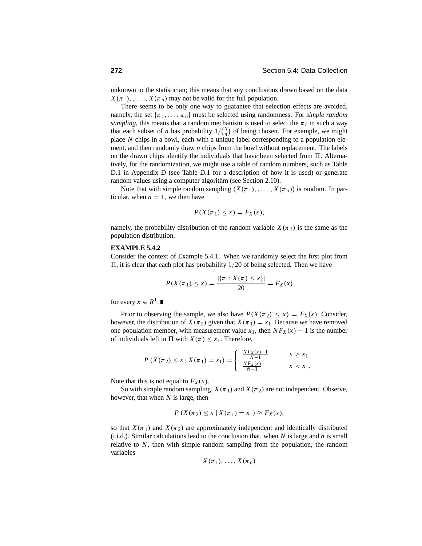unknown to the statistician; this means that any conclusions drawn based on the data  $X(\pi_1), \ldots, X(\pi_n)$  may not be valid for the full population.

There seems to be only one way to guarantee that selection effects are avoided, namely, the set  $\{\pi_1, \ldots, \pi_n\}$  must be selected using randomness. For *simple random sampling*, this means that a random mechanism is used to select the  $\pi_i$  in such a way that each subset of *n* has probability  $1/{N \choose n}$  of being chosen. For example, we might place *N* chips in a bowl, each with a unique label corresponding to a population element, and then randomly draw *n* chips from the bowl without replacement. The labels on the drawn chips identify the individuals that have been selected from  $\Pi$ . Alternatively, for the randomization, we might use a table of random numbers, such as Table D.1 in Appendix D (see Table D.1 for a description of how it is used) or generate random values using a computer algorithm (see Section 2.10).

Note that with simple random sampling  $(X(\pi_1), \ldots, X(\pi_n))$  is random. In particular, when  $n = 1$ , we then have

$$
P(X(\pi_1) \leq x) = F_X(x),
$$

namely, the probability distribution of the random variable  $X(\pi_1)$  is the same as the population distribution.

#### **EXAMPLE 5.4.2**

Consider the context of Example 5.4.1. When we randomly select the first plot from  $\Pi$ , it is clear that each plot has probability  $1/20$  of being selected. Then we have

$$
P(X(\pi_1) \le x) = \frac{|\{\pi : X(\pi) \le x\}|}{20} = F_X(x)
$$

for every  $x \in R^1$ .

Prior to observing the sample, we also have  $P(X(\pi_2) \le x) = F_X(x)$ . Consider, however, the distribution of  $X(\pi_2)$  given that  $X(\pi_1) = x_1$ . Because we have removed one population member, with measurement value  $x_1$ , then  $N F_X(x) - 1$  is the number of individuals left in  $\Pi$  with  $X(\pi) \leq x_1$ . Therefore,

$$
P(X(\pi_2) \le x \mid X(\pi_1) = x_1) = \begin{cases} \frac{N F_X(x) - 1}{N - 1} & x \ge x_1 \\ \frac{N F_X(x)}{N - 1} & x < x_1. \end{cases}
$$

Note that this is not equal to  $F_X(x)$ .

So with simple random sampling,  $X(\pi_1)$  and  $X(\pi_2)$  are not independent. Observe, however, that when *N* is large, then

$$
P(X(\pi_2) \leq x \mid X(\pi_1) = x_1) \approx F_X(x),
$$

so that  $X(\pi_1)$  and  $X(\pi_2)$  are approximately independent and identically distributed (i.i.d.). Similar calculations lead to the conclusion that, when *N* is large and *n* is small relative to *N*, then with simple random sampling from the population, the random variables

$$
X(\pi_1),\ldots,X(\pi_n)
$$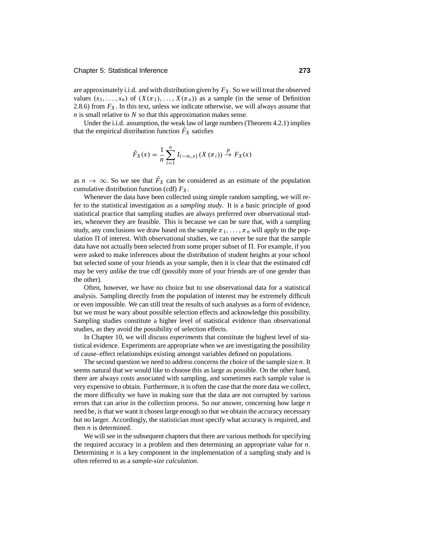are approximately i.i.d. and with distribution given by  $F_X$ . So we will treat the observed values  $(x_1, \ldots, x_n)$  of  $(X(\pi_1), \ldots, X(\pi_n))$  as a sample (in the sense of Definition 2.8.6) from  $F_X$ . In this text, unless we indicate otherwise, we will always assume that *n* is small relative to *N* so that this approximation makes sense.

Under the i.i.d. assumption, the weak law of large numbers (Theorem 4.2.1) implies that the empirical distribution function  $F_X$  satisfies

$$
\hat{F}_X(x) = \frac{1}{n} \sum_{i=1}^n I_{(-\infty, x]}(X(\pi_i)) \stackrel{P}{\to} F_X(x)
$$

as  $n \to \infty$ . So we see that  $\hat{F}_X$  can be considered as an estimate of the population cumulative distribution function (cdf) *FX* .

Whenever the data have been collected using simple random sampling, we will refer to the statistical investigation as a *sampling study*. It is a basic principle of good statistical practice that sampling studies are always preferred over observational studies, whenever they are feasible. This is because we can be sure that, with a sampling study, any conclusions we draw based on the sample  $\pi_1, \ldots, \pi_n$  will apply to the population  $\Pi$  of interest. With observational studies, we can never be sure that the sample data have not actually been selected from some proper subset of  $\Pi$ . For example, if you were asked to make inferences about the distribution of student heights at your school but selected some of your friends as your sample, then it is clear that the estimated cdf may be very unlike the true cdf (possibly more of your friends are of one gender than the other).

Often, however, we have no choice but to use observational data for a statistical analysis. Sampling directly from the population of interest may be extremely difficult or even impossible. We can still treat the results of such analyses as a form of evidence, but we must be wary about possible selection effects and acknowledge this possibility. Sampling studies constitute a higher level of statistical evidence than observational studies, as they avoid the possibility of selection effects.

In Chapter 10, we will discuss *experiments* that constitute the highest level of statistical evidence. Experiments are appropriate when we are investigating the possibility of cause–effect relationships existing amongst variables defined on populations.

The second question we need to address concerns the choice of the sample size *n*. It seems natural that we would like to choose this as large as possible. On the other hand, there are always costs associated with sampling, and sometimes each sample value is very expensive to obtain. Furthermore, it is often the case that the more data we collect, the more difficulty we have in making sure that the data are not corrupted by various errors that can arise in the collection process. So our answer, concerning how large *n* need be, is that we want it chosen large enough so that we obtain the accuracy necessary but no larger. Accordingly, the statistician must specify what accuracy is required, and then *n* is determined.

We will see in the subsequent chapters that there are various methods for specifying the required accuracy in a problem and then determining an appropriate value for *n*. Determining *n* is a key component in the implementation of a sampling study and is often referred to as a *sample-size calculation*.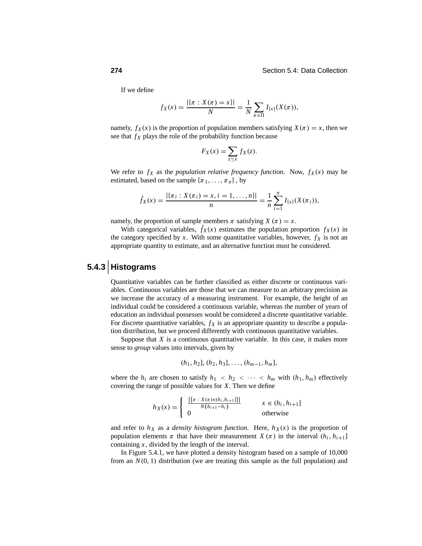If we define

$$
f_X(x) = \frac{|\{\pi : X(\pi) = x\}|}{N} = \frac{1}{N} \sum_{\pi \in \Pi} I_{\{x\}}(X(\pi)),
$$

namely,  $f_X(x)$  is the proportion of population members satisfying  $X(\pi) = x$ , then we see that  $f_X$  plays the role of the probability function because

$$
F_X(x) = \sum_{z \le x} f_X(z).
$$

We refer to  $f_X$  as the *population relative frequency function*. Now,  $f_X(x)$  may be estimated, based on the sample  $\{\pi_1, \ldots, \pi_n\}$ , by

$$
\hat{f}_X(x) = \frac{|\{\pi_i: X(\pi_i) = x, i = 1, ..., n\}|}{n} = \frac{1}{n} \sum_{i=1}^n I_{\{x\}}(X(\pi_i)),
$$

namely, the proportion of sample members  $\pi$  satisfying  $X(\pi) = x$ .

With categorical variables,  $f_X(x)$  estimates the population proportion  $f_X(x)$  in the category specified by *x*. With some quantitative variables, however,  $f_X$  is not an appropriate quantity to estimate, and an alternative function must be considered.

### **5.4.3 Histograms**

Quantitative variables can be further classified as either discrete or continuous variables. Continuous variables are those that we can measure to an arbitrary precision as we increase the accuracy of a measuring instrument. For example, the height of an individual could be considered a continuous variable, whereas the number of years of education an individual possesses would be considered a discrete quantitative variable. For discrete quantitative variables,  $f_X$  is an appropriate quantity to describe a population distribution, but we proceed differently with continuous quantitative variables.

Suppose that *X* is a continuous quantitative variable. In this case, it makes more sense to *group* values into intervals, given by

$$
(h_1, h_2], (h_2, h_3], \ldots, (h_{m-1}, h_m],
$$

where the  $h_i$  are chosen to satisfy  $h_1 < h_2 < \cdots < h_m$  with  $(h_1, h_m)$  effectively covering the range of possible values for *X*. Then we define

$$
h_X(x) = \begin{cases} \frac{|\{\pi : X(\pi) \in (h_i, h_{i+1}]\}|}{N(h_{i+1} - h_i)} & x \in (h_i, h_{i+1}]\\ 0 & \text{otherwise} \end{cases}
$$

and refer to  $h_X$  as a *density histogram function*. Here,  $h_X(x)$  is the proportion of population elements  $\pi$  that have their measurement  $X(\pi)$  in the interval  $(h_i, h_{i+1}]$ containing *x*, divided by the length of the interval.

In Figure 5.4.1, we have plotted a density histogram based on a sample of 10,000 from an  $N(0, 1)$  distribution (we are treating this sample as the full population) and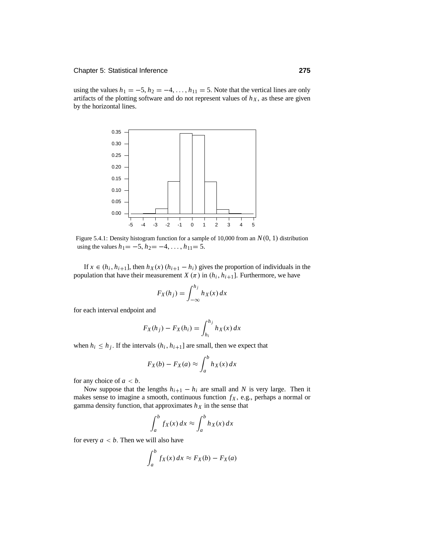using the values  $h_1 = -5$ ,  $h_2 = -4$ , ...,  $h_{11} = 5$ . Note that the vertical lines are only artifacts of the plotting software and do not represent values of  $h<sub>X</sub>$ , as these are given by the horizontal lines.



Figure 5.4.1: Density histogram function for a sample of 10,000 from an *N*(0, 1) distribution using the values  $h_1 = -5$ ,  $h_2 = -4$ , ...,  $h_{11} = 5$ .

If *x* ∈ ( $h_i$ ,  $h_{i+1}$ ), then  $h_X(x)$  ( $h_{i+1} - h_i$ ) gives the proportion of individuals in the population that have their measurement *X* ( $\pi$ ) in ( $h_i$ ,  $h_{i+1}$ ]. Furthermore, we have

$$
F_X(h_j) = \int_{-\infty}^{h_j} h_X(x) \, dx
$$

for each interval endpoint and

$$
F_X(h_j) - F_X(h_i) = \int_{h_i}^{h_j} h_X(x) dx
$$

when  $h_i \leq h_j$ . If the intervals  $(h_i, h_{i+1}]$  are small, then we expect that

$$
F_X(b) - F_X(a) \approx \int_a^b h_X(x) \, dx
$$

for any choice of  $a < b$ .

Now suppose that the lengths  $h_{i+1} - h_i$  are small and *N* is very large. Then it makes sense to imagine a smooth, continuous function  $f_X$ , e.g., perhaps a normal or gamma density function, that approximates  $h_X$  in the sense that

$$
\int_a^b f_X(x) \, dx \approx \int_a^b h_X(x) \, dx
$$

for every  $a < b$ . Then we will also have

$$
\int_a^b f_X(x) \, dx \approx F_X(b) - F_X(a)
$$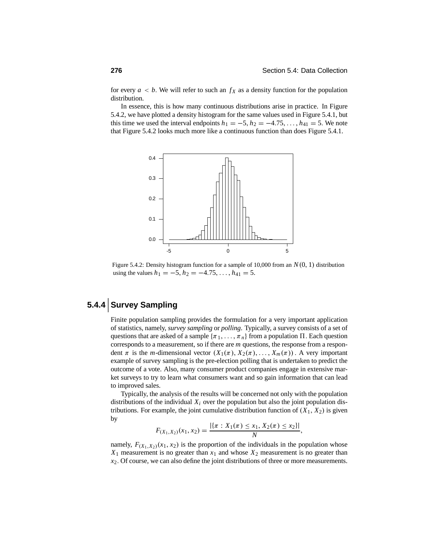for every  $a < b$ . We will refer to such an  $f_X$  as a density function for the population distribution.

In essence, this is how many continuous distributions arise in practice. In Figure 5.4.2, we have plotted a density histogram for the same values used in Figure 5.4.1, but this time we used the interval endpoints  $h_1 = -5$ ,  $h_2 = -4.75$ , ...,  $h_{41} = 5$ . We note that Figure 5.4.2 looks much more like a continuous function than does Figure 5.4.1.



Figure 5.4.2: Density histogram function for a sample of 10,000 from an *N*(0, 1) distribution using the values  $h_1 = -5$ ,  $h_2 = -4.75$ , ...,  $h_{41} = 5$ .

### **5.4.4 Survey Sampling**

Finite population sampling provides the formulation for a very important application of statistics, namely, *survey sampling* or *polling*. Typically, a survey consists of a set of questions that are asked of a sample  $\{\pi_1, \ldots, \pi_n\}$  from a population  $\Pi$ . Each question corresponds to a measurement, so if there are *m* questions, the response from a respondent  $\pi$  is the *m*-dimensional vector  $(X_1(\pi), X_2(\pi), \ldots, X_m(\pi))$ . A very important example of survey sampling is the pre-election polling that is undertaken to predict the outcome of a vote. Also, many consumer product companies engage in extensive market surveys to try to learn what consumers want and so gain information that can lead to improved sales.

Typically, the analysis of the results will be concerned not only with the population distributions of the individual  $X_i$  over the population but also the joint population distributions. For example, the joint cumulative distribution function of  $(X_1, X_2)$  is given by

$$
F_{(X_1,X_2)}(x_1,x_2)=\frac{|\{\pi:X_1(\pi)\leq x_1,X_2(\pi)\leq x_2\}|}{N},
$$

namely,  $F_{(X_1, X_2)}(x_1, x_2)$  is the proportion of the individuals in the population whose  $X_1$  measurement is no greater than  $x_1$  and whose  $X_2$  measurement is no greater than *x*2. Of course, we can also define the joint distributions of three or more measurements.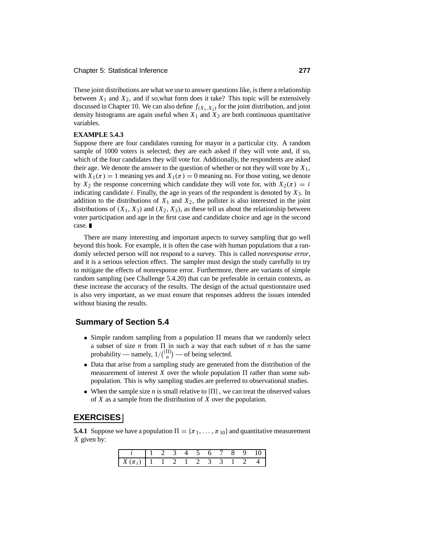These joint distributions are what we use to answer questions like, is there a relationship between  $X_1$  and  $X_2$ , and if so, what form does it take? This topic will be extensively discussed in Chapter 10. We can also define  $f(x_1, x_2)$  for the joint distribution, and joint density histograms are again useful when  $X_1$  and  $X_2$  are both continuous quantitative variables.

#### **EXAMPLE 5.4.3**

Suppose there are four candidates running for mayor in a particular city. A random sample of 1000 voters is selected; they are each asked if they will vote and, if so, which of the four candidates they will vote for. Additionally, the respondents are asked their age. We denote the answer to the question of whether or not they will vote by *X*1, with  $X_1(\pi) = 1$  meaning yes and  $X_1(\pi) = 0$  meaning no. For those voting, we denote by  $X_2$  the response concerning which candidate they will vote for, with  $X_2(\pi) = i$ indicating candidate *i*. Finally, the age in years of the respondent is denoted by *X*3. In addition to the distributions of  $X_1$  and  $X_2$ , the pollster is also interested in the joint distributions of  $(X_1, X_3)$  and  $(X_2, X_3)$ , as these tell us about the relationship between voter participation and age in the first case and candidate choice and age in the second case.

There are many interesting and important aspects to survey sampling that go well beyond this book. For example, it is often the case with human populations that a randomly selected person will not respond to a survey. This is called *nonresponse error*, and it is a serious selection effect. The sampler must design the study carefully to try to mitigate the effects of nonresponse error. Furthermore, there are variants of simple random sampling (see Challenge 5.4.20) that can be preferable in certain contexts, as these increase the accuracy of the results. The design of the actual questionnaire used is also very important, as we must ensure that responses address the issues intended without biasing the results.

#### **Summary of Section 5.4**

- Simple random sampling from a population  $\Pi$  means that we randomly select a subset of size *n* from  $\Pi$  in such a way that each subset of *n* has the same probability — namely,  $1/{\binom{|\Pi|}{n}}$  — of being selected.
- Data that arise from a sampling study are generated from the distribution of the measurement of interest *X* over the whole population  $\Pi$  rather than some subpopulation. This is why sampling studies are preferred to observational studies.
- When the sample size *n* is small relative to  $\Pi$ , we can treat the observed values of *X* as a sample from the distribution of *X* over the population.

### **EXERCISES**

**5.4.1** Suppose we have a population  $\Pi = {\pi_1, \ldots, \pi_{10}}$  and quantitative measurement *X* given by:

| $\mid X(\pi_i)\rangle$ |  |  |  |  |  |
|------------------------|--|--|--|--|--|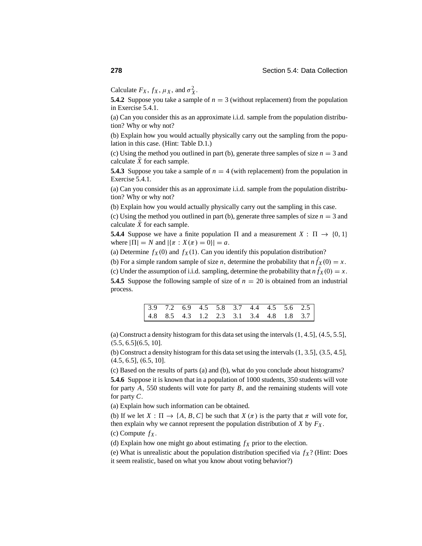Calculate  $F_X$ ,  $f_X$ ,  $\mu_X$ , and  $\sigma_X^2$ .

**5.4.2** Suppose you take a sample of  $n = 3$  (without replacement) from the population in Exercise 5.4.1.

(a) Can you consider this as an approximate i.i.d. sample from the population distribution? Why or why not?

(b) Explain how you would actually physically carry out the sampling from the population in this case. (Hint: Table D.1.)

(c) Using the method you outlined in part (b), generate three samples of size  $n = 3$  and calculate *X* for each sample.

**5.4.3** Suppose you take a sample of  $n = 4$  (with replacement) from the population in Exercise 5.4.1.

(a) Can you consider this as an approximate i.i.d. sample from the population distribution? Why or why not?

(b) Explain how you would actually physically carry out the sampling in this case.

(c) Using the method you outlined in part (b), generate three samples of size  $n = 3$  and calculate  $\overline{X}$  for each sample.

**5.4.4** Suppose we have a finite population  $\Pi$  and a measurement  $X : \Pi \rightarrow \{0, 1\}$ where  $|\Pi| = N$  and  $|\{\pi : X(\pi) = 0\}| = a$ .

(a) Determine  $f_X(0)$  and  $f_X(1)$ . Can you identify this population distribution?

(b) For a simple random sample of size *n*, determine the probability that  $n \hat{f}_X(0) = x$ .

(c) Under the assumption of i.i.d. sampling, determine the probability that  $n \hat{f}_X(0) = x$ .

**5.4.5** Suppose the following sample of size of  $n = 20$  is obtained from an industrial process.

|  |  |  | $\begin{array}{ccccccccc} 3.9 & 7.2 & 6.9 & 4.5 & 5.8 & 3.7 & 4.4 & 4.5 & 5.6 & 2.5 \end{array}$ |  |  |
|--|--|--|--------------------------------------------------------------------------------------------------|--|--|
|  |  |  | 4.8 8.5 4.3 1.2 2.3 3.1 3.4 4.8 1.8 3.7                                                          |  |  |

(a) Construct a density histogram for this data set using the intervals  $(1, 4.5]$ ,  $(4.5, 5.5]$ ,  $(5.5, 6.5]$  $(6.5, 10]$ .

(b) Construct a density histogram for this data set using the intervals(1, 3.5], (3.5, 4.5], (4.5, 6.5], (6.5, 10].

(c) Based on the results of parts (a) and (b), what do you conclude about histograms?

**5.4.6** Suppose it is known that in a population of 1000 students, 350 students will vote for party *A*, 550 students will vote for party *B*, and the remaining students will vote for party *C*.

(a) Explain how such information can be obtained.

(b) If we let  $X : \Pi \to \{A, B, C\}$  be such that  $X(\pi)$  is the party that  $\pi$  will vote for, then explain why we cannot represent the population distribution of  $X$  by  $F_X$ .

(c) Compute  $f_X$ .

(d) Explain how one might go about estimating  $f_X$  prior to the election.

(e) What is unrealistic about the population distribution specified via  $f_X$ ? (Hint: Does it seem realistic, based on what you know about voting behavior?)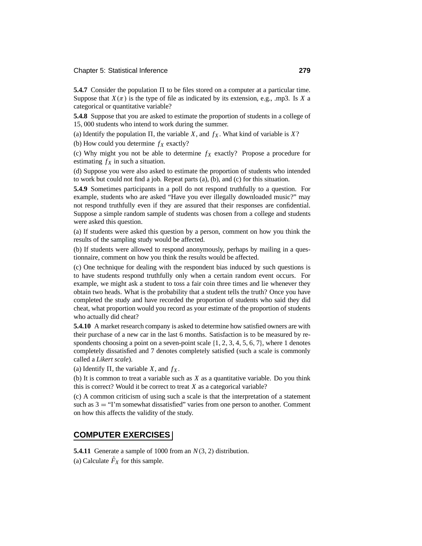**5.4.7** Consider the population  $\Pi$  to be files stored on a computer at a particular time. Suppose that  $X(\pi)$  is the type of file as indicated by its extension, e.g., .mp3. Is *X* a categorical or quantitative variable?

**5.4.8** Suppose that you are asked to estimate the proportion of students in a college of 15, 000 students who intend to work during the summer.

(a) Identify the population  $\Pi$ , the variable *X*, and  $f_X$ . What kind of variable is *X*?

(b) How could you determine  $f_X$  exactly?

(c) Why might you not be able to determine  $f_X$  exactly? Propose a procedure for estimating  $f_X$  in such a situation.

(d) Suppose you were also asked to estimate the proportion of students who intended to work but could not find a job. Repeat parts (a), (b), and (c) for this situation.

**5.4.9** Sometimes participants in a poll do not respond truthfully to a question. For example, students who are asked "Have you ever illegally downloaded music?" may not respond truthfully even if they are assured that their responses are confidential. Suppose a simple random sample of students was chosen from a college and students were asked this question.

(a) If students were asked this question by a person, comment on how you think the results of the sampling study would be affected.

(b) If students were allowed to respond anonymously, perhaps by mailing in a questionnaire, comment on how you think the results would be affected.

(c) One technique for dealing with the respondent bias induced by such questions is to have students respond truthfully only when a certain random event occurs. For example, we might ask a student to toss a fair coin three times and lie whenever they obtain two heads. What is the probability that a student tells the truth? Once you have completed the study and have recorded the proportion of students who said they did cheat, what proportion would you record as your estimate of the proportion of students who actually did cheat?

**5.4.10** A market research company is asked to determine how satisfied owners are with their purchase of a new car in the last 6 months. Satisfaction is to be measured by respondents choosing a point on a seven-point scale  $\{1, 2, 3, 4, 5, 6, 7\}$ , where 1 denotes completely dissatisfied and 7 denotes completely satisfied (such a scale is commonly called a *Likert scale*).

(a) Identify  $\Pi$ , the variable *X*, and  $f_X$ .

(b) It is common to treat a variable such as *X* as a quantitative variable. Do you think this is correct? Would it be correct to treat *X* as a categorical variable?

(c) A common criticism of using such a scale is that the interpretation of a statement such as  $3 = "I'm$  somewhat dissatisfied" varies from one person to another. Comment on how this affects the validity of the study.

#### **COMPUTER EXERCISES**

**5.4.11** Generate a sample of 1000 from an *N*(3, 2) distribution. (a) Calculate  $\hat{F}_X$  for this sample.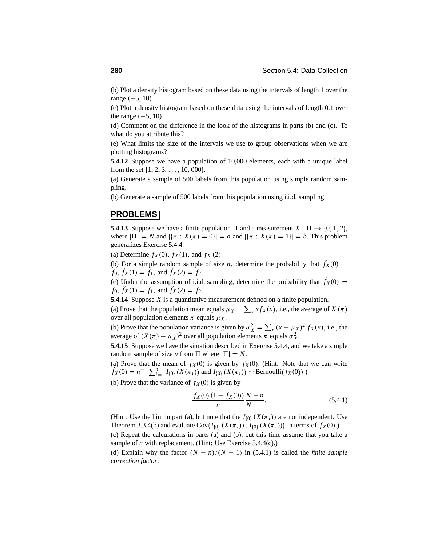(b) Plot a density histogram based on these data using the intervals of length 1 over the range  $(-5, 10)$ .

(c) Plot a density histogram based on these data using the intervals of length 0.1 over the range  $(-5, 10)$ .

(d) Comment on the difference in the look of the histograms in parts (b) and (c). To what do you attribute this?

(e) What limits the size of the intervals we use to group observations when we are plotting histograms?

**5.4.12** Suppose we have a population of 10,000 elements, each with a unique label from the set  $\{1, 2, 3, \ldots, 10, 000\}.$ 

(a) Generate a sample of 500 labels from this population using simple random sampling.

(b) Generate a sample of 500 labels from this population using i.i.d. sampling.

#### **PROBLEMS**

**5.4.13** Suppose we have a finite population  $\Pi$  and a measurement  $X : \Pi \rightarrow \{0, 1, 2\}$ , where  $|\Pi| = N$  and  $|\{\pi : X(\pi) = 0\}| = a$  and  $|\{\pi : X(\pi) = 1\}| = b$ . This problem generalizes Exercise 5.4.4.

(a) Determine  $f_X(0)$ ,  $f_X(1)$ , and  $f_X(2)$ .

(b) For a simple random sample of size *n*, determine the probability that  $\hat{f}_X(0)$  =  $f_0$ ,  $\hat{f}_X(1) = f_1$ , and  $\hat{f}_X(2) = f_2$ .

(c) Under the assumption of i.i.d. sampling, determine the probability that  $\hat{f}_X(0)$  =  $f_0$ ,  $\hat{f}_X(1) = f_1$ , and  $\hat{f}_X(2) = f_2$ .

**5.4.14** Suppose *X* is a quantitative measurement defined on a finite population.

(a) Prove that the population mean equals  $\mu_X = \sum_x x f_X(x)$ , i.e., the average of *X* ( $\pi$ ) over all population elements  $\pi$  equals  $\mu_X$ .

(b) Prove that the population variance is given by  $\sigma_X^2 = \sum_x (x - \mu_X)^2 f_X(x)$ , i.e., the average of  $(X(\pi) - \mu_X)^2$  over all population elements  $\pi$  equals  $\sigma_X^2$ .

**5.4.15** Suppose we have the situation described in Exercise 5.4.4, and we take a simple random sample of size *n* from  $\Pi$  where  $|\Pi| = N$ .

(a) Prove that the mean of  $\hat{f}_X(0)$  is given by  $f_X(0)$ . (Hint: Note that we can write  $\hat{f}_X(0) = n^{-1} \sum_{i=1}^n I_{\{0\}}(X(\pi_i))$  and  $I_{\{0\}}(X(\pi_i)) \sim \text{Bernoulli}(f_X(0)).$ 

(b) Prove that the variance of  $\hat{f}_X(0)$  is given by

$$
\frac{f_X(0) (1 - f_X(0))}{n} \frac{N - n}{N - 1}.
$$
\n(5.4.1)

(Hint: Use the hint in part (a), but note that the  $I_{\{0\}}(X(\pi_i))$  are not independent. Use Theorem 3.3.4(b) and evaluate  $Cov(I_{\{0\}}(X(\pi_i)), I_{\{0\}}(X(\pi_i)))$  in terms of  $f_X(0)$ .)

(c) Repeat the calculations in parts (a) and (b), but this time assume that you take a sample of *n* with replacement. (Hint: Use Exercise 5.4.4(c).)

(d) Explain why the factor  $(N - n)/(N - 1)$  in (5.4.1) is called the *finite sample correction factor*.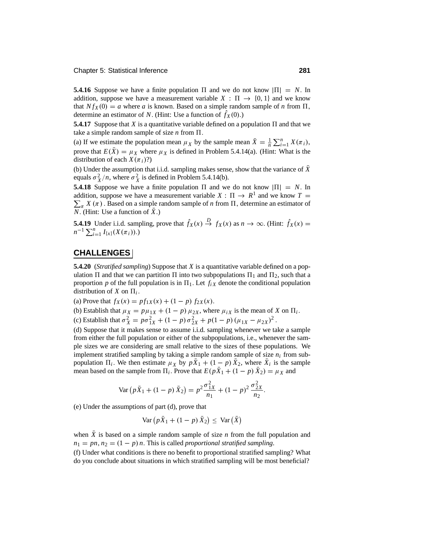**5.4.16** Suppose we have a finite population  $\Pi$  and we do not know  $|\Pi| = N$ . In addition, suppose we have a measurement variable  $X : \Pi \to \{0, 1\}$  and we know that  $N f_X(0) = a$  where *a* is known. Based on a simple random sample of *n* from  $\Pi$ , determine an estimator of *N*. (Hint: Use a function of  $\hat{f}_X(0)$ .)

**5.4.17** Suppose that *X* is a quantitative variable defined on a population  $\Pi$  and that we take a simple random sample of size  $n$  from  $\Pi$ .

(a) If we estimate the population mean  $\mu_X$  by the sample mean  $\bar{X} = \frac{1}{n} \sum_{i=1}^n X(\pi_i)$ , prove that  $E(\bar{X}) = \mu_X$  where  $\mu_X$  is defined in Problem 5.4.14(a). (Hint: What is the distribution of each  $X(\pi_i)$ ?)

(b) Under the assumption that i.i.d. sampling makes sense, show that the variance of *X*¯ equals  $\sigma_X^2/n$ , where  $\sigma_X^2$  is defined in Problem 5.4.14(b).

**5.4.18** Suppose we have a finite population  $\Pi$  and we do not know  $|\Pi| = N$ . In addition, suppose we have a measurement variable  $X : \Pi \to R^1$  and we know  $T =$  $\sum_{\pi} X(\pi)$ . Based on a simple random sample of *n* from  $\Pi$ , determine an estimator of *N*. (Hint: Use a function of  $\bar{X}$ .)

**5.4.19** Under i.i.d. sampling, prove that  $\hat{f}_X(x) \stackrel{D}{\rightarrow} f_X(x)$  as  $n \rightarrow \infty$ . (Hint:  $\hat{f}_X(x) =$  $n^{-1}$   $\sum_{i=1}^{n} I_{\{x\}}(X(\pi_i)).$ 

### **CHALLENGES**

**5.4.20** (*Stratified sampling*) Suppose that *X* is a quantitative variable defined on a population  $\Pi$  and that we can partition  $\Pi$  into two subpopulations  $\Pi_1$  and  $\Pi_2$ , such that a proportion *p* of the full population is in  $\Pi_1$ . Let  $f_{iX}$  denote the conditional population distribution of *X* on  $\Pi_i$ .

(a) Prove that  $f_X(x) = pf_{1X}(x) + (1 - p) f_{2X}(x)$ .

- (b) Establish that  $\mu_X = p\mu_{1X} + (1 p)\mu_{2X}$ , where  $\mu_{iX}$  is the mean of *X* on  $\Pi_i$ .
- (c) Establish that  $\sigma_X^2 = p\sigma_{1X}^2 + (1-p)\sigma_{2X}^2 + p(1-p)(\mu_{1X} \mu_{2X})^2$ .

(d) Suppose that it makes sense to assume i.i.d. sampling whenever we take a sample from either the full population or either of the subpopulations, i.e., whenever the sample sizes we are considering are small relative to the sizes of these populations. We implement stratified sampling by taking a simple random sample of size  $n_i$  from subpopulation  $\Pi_i$ . We then estimate  $\mu_X$  by  $pX_1 + (1 - p)X_2$ , where  $X_i$  is the sample mean based on the sample from  $\Pi_i$ . Prove that  $E(p\overline{X}_1 + (1-p)\overline{X}_2) = \mu_X$  and

$$
\text{Var}\left(p\bar{X}_1 + (1-p)\bar{X}_2\right) = p^2 \frac{\sigma_{1X}^2}{n_1} + (1-p)^2 \frac{\sigma_{2X}^2}{n_2}.
$$

(e) Under the assumptions of part (d), prove that

$$
\text{Var}\left(p\,\bar{X}_1 + (1-p)\,\bar{X}_2\right) \leq \text{Var}\left(\bar{X}\right)
$$

when  $\overline{X}$  is based on a simple random sample of size *n* from the full population and  $n_1 = pn, n_2 = (1 - p)n$ . This is called *proportional stratified sampling*. (f) Under what conditions is there no benefit to proportional stratified sampling? What do you conclude about situations in which stratified sampling will be most beneficial?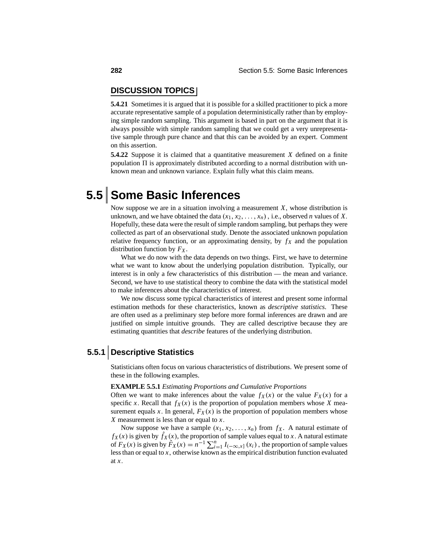#### **DISCUSSION TOPICS**

**5.4.21** Sometimes it is argued that it is possible for a skilled practitioner to pick a more accurate representative sample of a population deterministically rather than by employing simple random sampling. This argument is based in part on the argument that it is always possible with simple random sampling that we could get a very unrepresentative sample through pure chance and that this can be avoided by an expert. Comment on this assertion.

**5.4.22** Suppose it is claimed that a quantitative measurement *X* defined on a finite population  $\Pi$  is approximately distributed according to a normal distribution with unknown mean and unknown variance. Explain fully what this claim means.

## **5.5 Some Basic Inferences**

Now suppose we are in a situation involving a measurement *X*, whose distribution is unknown, and we have obtained the data  $(x_1, x_2, \ldots, x_n)$ , i.e., observed *n* values of *X*. Hopefully, these data were the result of simple random sampling, but perhaps they were collected as part of an observational study. Denote the associated unknown population relative frequency function, or an approximating density, by  $f_X$  and the population distribution function by  $F_X$ .

What we do now with the data depends on two things. First, we have to determine what we want to know about the underlying population distribution. Typically, our interest is in only a few characteristics of this distribution — the mean and variance. Second, we have to use statistical theory to combine the data with the statistical model to make inferences about the characteristics of interest.

We now discuss some typical characteristics of interest and present some informal estimation methods for these characteristics, known as *descriptive statistics*. These are often used as a preliminary step before more formal inferences are drawn and are justified on simple intuitive grounds. They are called descriptive because they are estimating quantities that *describe* features of the underlying distribution.

### **5.5.1 Descriptive Statistics**

Statisticians often focus on various characteristics of distributions. We present some of these in the following examples.

#### **EXAMPLE 5.5.1** *Estimating Proportions and Cumulative Proportions*

Often we want to make inferences about the value  $f_X(x)$  or the value  $F_X(x)$  for a specific *x*. Recall that  $f_X(x)$  is the proportion of population members whose *X* measurement equals *x*. In general,  $F_X(x)$  is the proportion of population members whose *X* measurement is less than or equal to *x*.

Now suppose we have a sample  $(x_1, x_2, \ldots, x_n)$  from  $f_X$ . A natural estimate of  $f_X(x)$  is given by  $\hat{f}_X(x)$ , the proportion of sample values equal to *x*. A natural estimate of  $F_X(x)$  is given by  $\hat{F}_X(x) = n^{-1} \sum_{i=1}^n I_{(-\infty, x]}(x_i)$ , the proportion of sample values less than or equal to *x*, otherwise known as the empirical distribution function evaluated at *x*.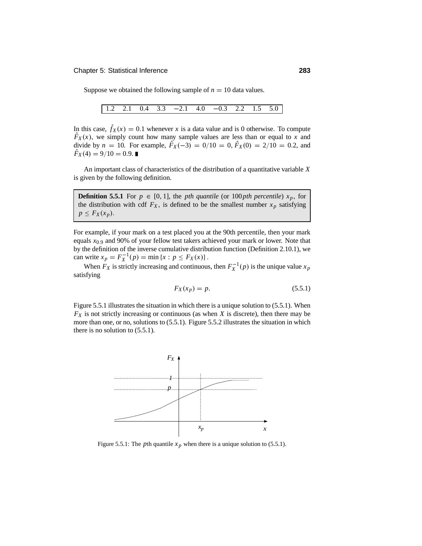Chapter 5: Statistical Inference **283**

Suppose we obtained the following sample of  $n = 10$  data values.

|--|

In this case,  $\hat{f}_X(x) = 0.1$  whenever *x* is a data value and is 0 otherwise. To compute  $\hat{F}_X(x)$ , we simply count how many sample values are less than or equal to *x* and divide by  $n = 10$ . For example,  $\hat{F}_X(-3) = 0/10 = 0$ ,  $\hat{F}_X(0) = 2/10 = 0.2$ , and  $\hat{F}_X(4) = 9/10 = 0.9$ .

An important class of characteristics of the distribution of a quantitative variable *X* is given by the following definition.

**Definition 5.5.1** For  $p \in [0, 1]$ , the *pth quantile* (or 100*pth percentile*)  $x_p$ , for the distribution with cdf  $F_X$ , is defined to be the smallest number  $x_p$  satisfying  $p \leq F_X(x_p).$ 

For example, if your mark on a test placed you at the 90th percentile, then your mark equals *x*0.<sup>9</sup> and 90% of your fellow test takers achieved your mark or lower. Note that by the definition of the inverse cumulative distribution function (Definition 2.10.1), we can write  $x_p = F_X^{-1}(p) = \min \{x : p \le F_X(x)\}.$ 

When  $F_X$  is strictly increasing and continuous, then  $F_X^{-1}(p)$  is the unique value  $x_p$ satisfying

$$
F_X(x_p) = p. \tag{5.5.1}
$$

Figure 5.5.1 illustrates the situation in which there is a unique solution to (5.5.1). When *FX* is not strictly increasing or continuous (as when *X* is discrete), then there may be more than one, or no, solutions to (5.5.1). Figure 5.5.2 illustrates the situation in which there is no solution to (5.5.1).



Figure 5.5.1: The *p*th quantile  $x_p$  when there is a unique solution to (5.5.1).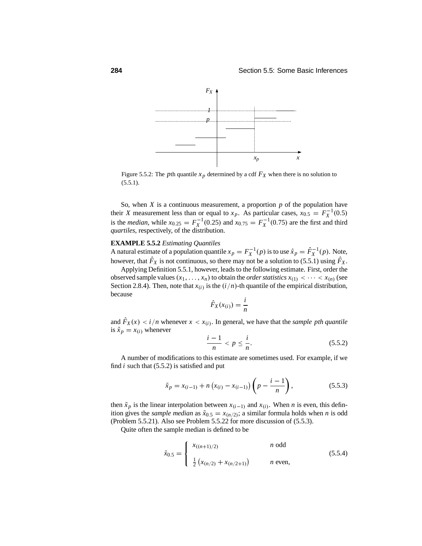

Figure 5.5.2: The *p*th quantile  $x_p$  determined by a cdf  $F_X$  when there is no solution to  $(5.5.1).$ 

So, when  $X$  is a continuous measurement, a proportion  $p$  of the population have their *X* measurement less than or equal to  $x_p$ . As particular cases,  $x_{0.5} = F_X^{-1}(0.5)$ is the *median*, while  $x_{0.25} = F_X^{-1}(0.25)$  and  $x_{0.75} = F_X^{-1}(0.75)$  are the first and third *quartiles*, respectively, of the distribution.

#### **EXAMPLE 5.5.2** *Estimating Quantiles*

A natural estimate of a population quantile  $x_p = F_X^{-1}(p)$  is to use  $\hat{x}_p = \hat{F}_X^{-1}(p)$ . Note, however, that  $\hat{F}_X$  is not continuous, so there may not be a solution to (5.5.1) using  $\hat{F}_X$ .

Applying Definition 5.5.1, however, leads to the following estimate. First, order the observed sample values  $(x_1, \ldots, x_n)$  to obtain the *order statistics*  $x_{(1)} < \cdots < x_{(n)}$  (see Section 2.8.4). Then, note that  $x(i)$  is the  $(i/n)$ -th quantile of the empirical distribution, because

$$
\hat{F}_X(x_{(i)}) = \frac{i}{n}
$$

and  $\hat{F}_X(x) < i/n$  whenever  $x < x(i)$ . In general, we have that the *sample pth quantile* is  $\hat{x}_p = x_{(i)}$  whenever

$$
\frac{i-1}{n} < p \le \frac{i}{n}.\tag{5.5.2}
$$

A number of modifications to this estimate are sometimes used. For example, if we find  $i$  such that  $(5.5.2)$  is satisfied and put

$$
\tilde{x}_p = x_{(i-1)} + n\left(x_{(i)} - x_{(i-1)}\right)\left(p - \frac{i-1}{n}\right),\tag{5.5.3}
$$

then  $\tilde{x}_p$  is the linear interpolation between  $x_{(i-1)}$  and  $x_{(i)}$ . When *n* is even, this definition gives the *sample median* as  $\tilde{x}_{0.5} = x_{(n/2)}$ ; a similar formula holds when *n* is odd (Problem 5.5.21). Also see Problem 5.5.22 for more discussion of (5.5.3).

Quite often the sample median is defined to be

$$
\check{x}_{0.5} = \begin{cases}\n x_{((n+1)/2)} & n \text{ odd} \\
 \frac{1}{2} \left( x_{(n/2)} + x_{(n/2+1)} \right) & n \text{ even,} \n\end{cases}
$$
\n(5.5.4)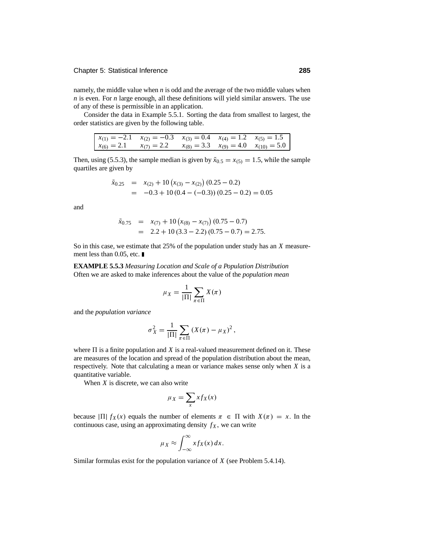namely, the middle value when *n* is odd and the average of the two middle values when *n* is even. For *n* large enough, all these definitions will yield similar answers. The use of any of these is permissible in an application.

Consider the data in Example 5.5.1. Sorting the data from smallest to largest, the order statistics are given by the following table.

| $x_{(1)} = -2.1$ $x_{(2)} = -0.3$ $x_{(3)} = 0.4$ $x_{(4)} = 1.2$ $x_{(5)} = 1.5$<br>$x_{(6)} = 2.1$ $x_{(7)} = 2.2$ $x_{(8)} = 3.3$ $x_{(9)} = 4.0$ $x_{(10)} = 5.0$ |  |  |
|-----------------------------------------------------------------------------------------------------------------------------------------------------------------------|--|--|

Then, using (5.5.3), the sample median is given by  $\tilde{x}_{0.5} = x_{(5)} = 1.5$ , while the sample quartiles are given by

$$
\begin{array}{rcl}\n\tilde{x}_{0.25} & = & x_{(2)} + 10 \left( x_{(3)} - x_{(2)} \right) \left( 0.25 - 0.2 \right) \\
& = & -0.3 + 10 \left( 0.4 - (-0.3) \right) \left( 0.25 - 0.2 \right) = 0.05\n\end{array}
$$

and

$$
\begin{array}{rcl}\n\tilde{x}_{0.75} & = & x_{(7)} + 10 \left( x_{(8)} - x_{(7)} \right) \left( 0.75 - 0.7 \right) \\
& = & 2.2 + 10 \left( 3.3 - 2.2 \right) \left( 0.75 - 0.7 \right) = 2.75.\n\end{array}
$$

So in this case, we estimate that 25% of the population under study has an *X* measurement less than 0.05, etc.

**EXAMPLE 5.5.3** *Measuring Location and Scale of a Population Distribution* Often we are asked to make inferences about the value of the *population mean*

$$
\mu_X = \frac{1}{|\Pi|} \sum_{\pi \in \Pi} X(\pi)
$$

and the *population variance*

$$
\sigma_X^2 = \frac{1}{|\Pi|} \sum_{\pi \in \Pi} (X(\pi) - \mu_X)^2,
$$

where  $\Pi$  is a finite population and  $X$  is a real-valued measurement defined on it. These are measures of the location and spread of the population distribution about the mean, respectively. Note that calculating a mean or variance makes sense only when *X* is a quantitative variable.

When *X* is discrete, we can also write

$$
\mu_X = \sum_x x f_X(x)
$$

because  $|\Pi| f_X(x)$  equals the number of elements  $\pi \in \Pi$  with  $X(\pi) = x$ . In the continuous case, using an approximating density  $f_X$ , we can write

$$
\mu_X \approx \int_{-\infty}^{\infty} x f_X(x) \, dx.
$$

Similar formulas exist for the population variance of *X* (see Problem 5.4.14).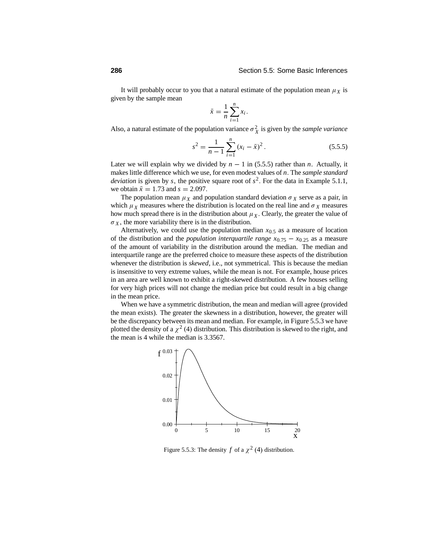It will probably occur to you that a natural estimate of the population mean  $\mu_X$  is given by the sample mean

$$
\bar{x} = \frac{1}{n} \sum_{i=1}^{n} x_i.
$$

Also, a natural estimate of the population variance  $\sigma_X^2$  is given by the *sample variance* 

$$
s^{2} = \frac{1}{n-1} \sum_{i=1}^{n} (x_{i} - \bar{x})^{2}.
$$
 (5.5.5)

Later we will explain why we divided by  $n - 1$  in (5.5.5) rather than *n*. Actually, it makes little difference which we use, for even modest values of *n*. The *sample standard deviation* is given by *s*, the positive square root of  $s^2$ . For the data in Example 5.1.1, we obtain  $\bar{x} = 1.73$  and  $s = 2.097$ .

The population mean  $\mu_X$  and population standard deviation  $\sigma_X$  serve as a pair, in which  $\mu_X$  measures where the distribution is located on the real line and  $\sigma_X$  measures how much spread there is in the distribution about  $\mu_X$ . Clearly, the greater the value of  $\sigma_X$ , the more variability there is in the distribution.

Alternatively, we could use the population median  $x_{0.5}$  as a measure of location of the distribution and the *population interquartile range*  $x_{0.75} - x_{0.25}$  as a measure of the amount of variability in the distribution around the median. The median and interquartile range are the preferred choice to measure these aspects of the distribution whenever the distribution is *skewed*, i.e., not symmetrical. This is because the median is insensitive to very extreme values, while the mean is not. For example, house prices in an area are well known to exhibit a right-skewed distribution. A few houses selling for very high prices will not change the median price but could result in a big change in the mean price.

When we have a symmetric distribution, the mean and median will agree (provided the mean exists). The greater the skewness in a distribution, however, the greater will be the discrepancy between its mean and median. For example, in Figure 5.5.3 we have plotted the density of a  $\chi^2$  (4) distribution. This distribution is skewed to the right, and the mean is 4 while the median is 3.3567.



Figure 5.5.3: The density *f* of a  $\chi^2$  (4) distribution.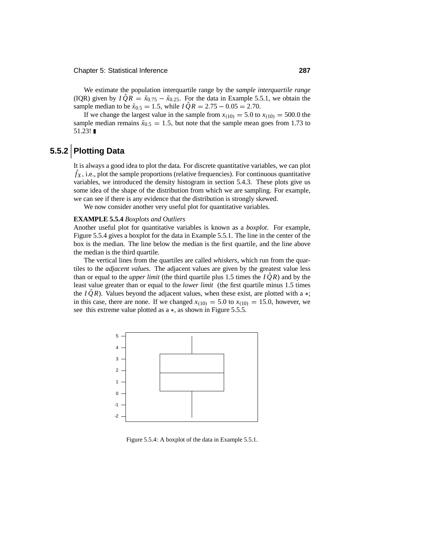We estimate the population interquartile range by the *sample interquartile range* (IQR) given by  $IQR = \tilde{x}_{0.75} - \tilde{x}_{0.25}$ . For the data in Example 5.5.1, we obtain the sample median to be  $\tilde{x}_{0.5} = 1.5$ , while  $IQR = 2.75 - 0.05 = 2.70$ .

If we change the largest value in the sample from  $x_{(10)} = 5.0$  to  $x_{(10)} = 500.0$  the sample median remains  $\tilde{x}_{0.5} = 1.5$ , but note that the sample mean goes from 1.73 to 51.23!

### **5.5.2 Plotting Data**

It is always a good idea to plot the data. For discrete quantitative variables, we can plot  $f_X$ , i.e., plot the sample proportions (relative frequencies). For continuous quantitative variables, we introduced the density histogram in section 5.4.3. These plots give us some idea of the shape of the distribution from which we are sampling. For example, we can see if there is any evidence that the distribution is strongly skewed.

We now consider another very useful plot for quantitative variables.

#### **EXAMPLE 5.5.4** *Boxplots and Outliers*

Another useful plot for quantitative variables is known as a *boxplot*. For example, Figure 5.5.4 gives a boxplot for the data in Example 5.5.1. The line in the center of the box is the median. The line below the median is the first quartile, and the line above the median is the third quartile.

The vertical lines from the quartiles are called *whiskers*, which run from the quartiles to the *adjacent values.* The adjacent values are given by the greatest value less than or equal to the *upper limit* (the third quartile plus 1.5 times the  $I\hat{Q}R$ ) and by the least value greater than or equal to the *lower limit* (the first quartile minus 1.5 times the  $IQR$ ). Values beyond the adjacent values, when these exist, are plotted with a  $*$ ; in this case, there are none. If we changed  $x_{(10)} = 5.0$  to  $x_{(10)} = 15.0$ , however, we see this extreme value plotted as a  $\ast$ , as shown in Figure 5.5.5.



Figure 5.5.4: A boxplot of the data in Example 5.5.1.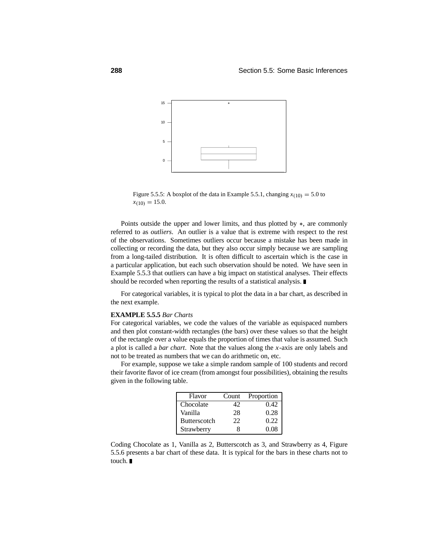

Figure 5.5.5: A boxplot of the data in Example 5.5.1, changing  $x_{(10)} = 5.0$  to  $x_{(10)} = 15.0$ .

Points outside the upper and lower limits, and thus plotted by <sup>∗</sup>, are commonly referred to as *outliers*. An outlier is a value that is extreme with respect to the rest of the observations. Sometimes outliers occur because a mistake has been made in collecting or recording the data, but they also occur simply because we are sampling from a long-tailed distribution. It is often difficult to ascertain which is the case in a particular application, but each such observation should be noted. We have seen in Example 5.5.3 that outliers can have a big impact on statistical analyses. Their effects should be recorded when reporting the results of a statistical analysis.

For categorical variables, it is typical to plot the data in a bar chart, as described in the next example.

#### **EXAMPLE 5.5.5** *Bar Charts*

For categorical variables, we code the values of the variable as equispaced numbers and then plot constant-width rectangles (the bars) over these values so that the height of the rectangle over a value equals the proportion of times that value is assumed. Such a plot is called a *bar chart*. Note that the values along the *x*-axis are only labels and not to be treated as numbers that we can do arithmetic on, etc.

For example, suppose we take a simple random sample of 100 students and record their favorite flavor of ice cream (from amongst four possibilities), obtaining the results given in the following table.

| Flavor              | Count | Proportion |
|---------------------|-------|------------|
| Chocolate           | 42    | 0.42       |
| Vanilla             | 28    | 0.28       |
| <b>Butterscotch</b> | 22    | 0.22       |
| Strawberry          |       | 0.08       |

Coding Chocolate as 1, Vanilla as 2, Butterscotch as 3, and Strawberry as 4, Figure 5.5.6 presents a bar chart of these data. It is typical for the bars in these charts not to touch.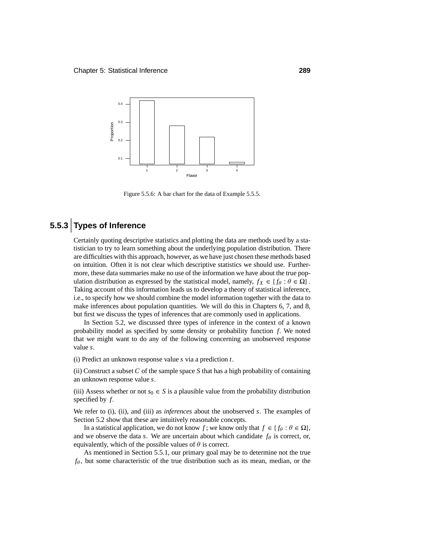

Figure 5.5.6: A bar chart for the data of Example 5.5.5.

### **5.5.3 Types of Inference**

Certainly quoting descriptive statistics and plotting the data are methods used by a statistician to try to learn something about the underlying population distribution. There are difficulties with this approach, however, as we have just chosen these methods based on intuition. Often it is not clear which descriptive statistics we should use. Furthermore, these data summaries make no use of the information we have about the true population distribution as expressed by the statistical model, namely,  $f_X \in \{f_\theta : \theta \in \Omega\}$ . Taking account of this information leads us to develop a theory of statistical inference, i.e., to specify how we should combine the model information together with the data to make inferences about population quantities. We will do this in Chapters 6, 7, and 8, but first we discuss the types of inferences that are commonly used in applications.

In Section 5.2, we discussed three types of inference in the context of a known probability model as specified by some density or probability function *f*. We noted that we might want to do any of the following concerning an unobserved response value *s*.

(i) Predict an unknown response value *s* via a prediction *t*.

(ii) Construct a subset *C* of the sample space *S* that has a high probability of containing an unknown response value *s*.

(iii) Assess whether or not  $s_0 \in S$  is a plausible value from the probability distribution specified by *f*.

We refer to (i), (ii), and (iii) as *inferences* about the unobserved *s*. The examples of Section 5.2 show that these are intuitively reasonable concepts.

In a statistical application, we do not know *f*; we know only that  $f \in \{f_\theta : \theta \in \Omega\}$ , and we observe the data *s*. We are uncertain about which candidate  $f_{\theta}$  is correct, or, equivalently, which of the possible values of  $\theta$  is correct.

As mentioned in Section 5.5.1, our primary goal may be to determine not the true  $f_{\theta}$ , but some characteristic of the true distribution such as its mean, median, or the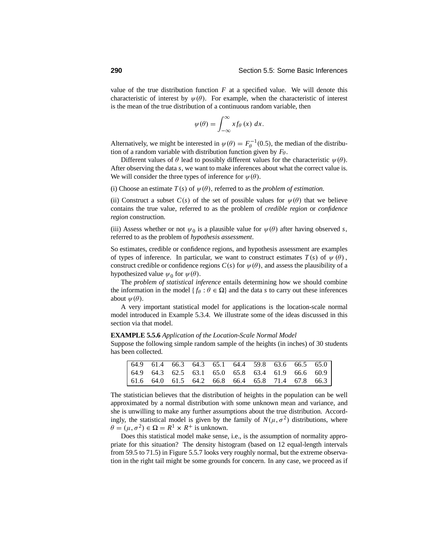value of the true distribution function  $F$  at a specified value. We will denote this characteristic of interest by  $\psi(\theta)$ . For example, when the characteristic of interest is the mean of the true distribution of a continuous random variable, then

$$
\psi(\theta) = \int_{-\infty}^{\infty} x f_{\theta}(x) \, dx.
$$

Alternatively, we might be interested in  $\psi(\theta) = F_{\theta}^{-1}(0.5)$ , the median of the distribution of a random variable with distribution function given by  $F_{\theta}$ .

Different values of  $\theta$  lead to possibly different values for the characteristic  $\psi(\theta)$ . After observing the data *s*, we want to make inferences about what the correct value is. We will consider the three types of inference for  $\psi(\theta)$ .

(i) Choose an estimate  $T(s)$  of  $\psi(\theta)$ , referred to as the *problem of estimation*.

(ii) Construct a subset  $C(s)$  of the set of possible values for  $\psi(\theta)$  that we believe contains the true value, referred to as the problem of *credible region* or *confidence region* construction.

(iii) Assess whether or not  $\psi_0$  is a plausible value for  $\psi(\theta)$  after having observed *s*, referred to as the problem of *hypothesis assessment*.

So estimates, credible or confidence regions, and hypothesis assessment are examples of types of inference. In particular, we want to construct estimates  $T(s)$  of  $\psi(\theta)$ , construct credible or confidence regions  $C(s)$  for  $\psi(\theta)$ , and assess the plausibility of a hypothesized value  $\psi_0$  for  $\psi(\theta)$ .

The *problem of statistical inference* entails determining how we should combine the information in the model { $f_{\theta}$  :  $\theta \in \Omega$ } and the data *s* to carry out these inferences about  $\psi(\theta)$ .

A very important statistical model for applications is the location-scale normal model introduced in Example 5.3.4. We illustrate some of the ideas discussed in this section via that model.

#### **EXAMPLE 5.5.6** *Application of the Location-Scale Normal Model*

Suppose the following simple random sample of the heights (in inches) of 30 students has been collected.

|  | $\begin{array}{ rrrrrrrrrrrrrrrrrrrrrrrrrrrrrrrrrrrrrrrr} \hline 64.9 & 61.4 & 66.3 & 64.3 & 65.1 & 64.4 & 59.8 & 63.6 & 66.5 & 65.0 \\\hline \end{array}$ |  |                                                                                                     |  |  |
|--|------------------------------------------------------------------------------------------------------------------------------------------------------------|--|-----------------------------------------------------------------------------------------------------|--|--|
|  |                                                                                                                                                            |  | $\begin{bmatrix} 64.9 & 64.3 & 62.5 & 63.1 & 65.0 & 65.8 & 63.4 & 61.9 & 66.6 & 60.9 \end{bmatrix}$ |  |  |
|  |                                                                                                                                                            |  |                                                                                                     |  |  |

The statistician believes that the distribution of heights in the population can be well approximated by a normal distribution with some unknown mean and variance, and she is unwilling to make any further assumptions about the true distribution. Accordingly, the statistical model is given by the family of  $N(\mu, \sigma^2)$  distributions, where  $\theta = (\mu, \sigma^2) \in \Omega = R^1 \times R^+$  is unknown.

Does this statistical model make sense, i.e., is the assumption of normality appropriate for this situation? The density histogram (based on 12 equal-length intervals from 59.5 to 71.5) in Figure 5.5.7 looks very roughly normal, but the extreme observation in the right tail might be some grounds for concern. In any case, we proceed as if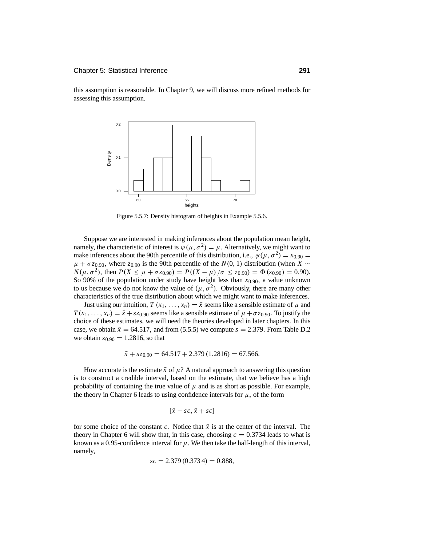this assumption is reasonable. In Chapter 9, we will discuss more refined methods for assessing this assumption.



Figure 5.5.7: Density histogram of heights in Example 5.5.6.

Suppose we are interested in making inferences about the population mean height, namely, the characteristic of interest is  $\psi(\mu, \sigma^2) = \mu$ . Alternatively, we might want to make inferences about the 90th percentile of this distribution, i.e.,  $\psi(\mu, \sigma^2) = x_{0.90} =$  $\mu + \sigma z_{0.90}$ , where  $z_{0.90}$  is the 90th percentile of the *N*(0, 1) distribution (when *X* ∼  $N(\mu, \sigma^2)$ , then  $P(X \le \mu + \sigma z_{0.90}) = P((X - \mu)/\sigma \le z_{0.90}) = \Phi(z_{0.90}) = 0.90$ . So 90% of the population under study have height less than *x*0.90, a value unknown to us because we do not know the value of  $(\mu, \sigma^2)$ . Obviously, there are many other characteristics of the true distribution about which we might want to make inferences.

Just using our intuition,  $T(x_1, \ldots, x_n) = \overline{x}$  seems like a sensible estimate of  $\mu$  and  $T(x_1,...,x_n) = \bar{x} + s z_{0.90}$  seems like a sensible estimate of  $\mu + \sigma z_{0.90}$ . To justify the choice of these estimates, we will need the theories developed in later chapters. In this case, we obtain  $\bar{x} = 64.517$ , and from (5.5.5) we compute  $s = 2.379$ . From Table D.2 we obtain  $z_{0.90} = 1.2816$ , so that

$$
\bar{x} + s z_{0.90} = 64.517 + 2.379 (1.2816) = 67.566.
$$

How accurate is the estimate  $\bar{x}$  of  $\mu$ ? A natural approach to answering this question is to construct a credible interval, based on the estimate, that we believe has a high probability of containing the true value of  $\mu$  and is as short as possible. For example, the theory in Chapter 6 leads to using confidence intervals for  $\mu$ , of the form

$$
[\bar{x} - sc, \bar{x} + sc]
$$

for some choice of the constant *c*. Notice that  $\bar{x}$  is at the center of the interval. The theory in Chapter 6 will show that, in this case, choosing  $c = 0.3734$  leads to what is known as a 0.95-confidence interval for  $\mu$ . We then take the half-length of this interval, namely,

$$
sc = 2.379(0.3734) = 0.888,
$$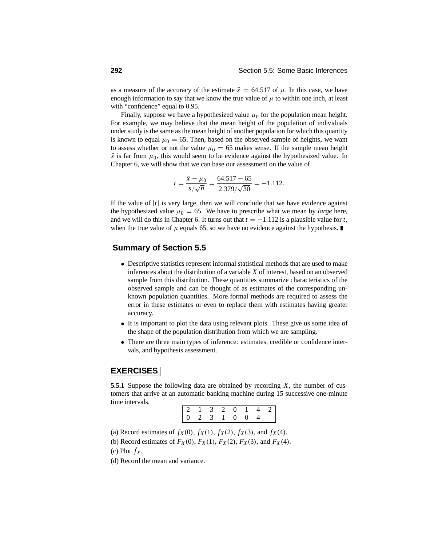as a measure of the accuracy of the estimate  $\bar{x} = 64.517$  of  $\mu$ . In this case, we have enough information to say that we know the true value of  $\mu$  to within one inch, at least with "confidence" equal to 0.95.

Finally, suppose we have a hypothesized value  $\mu_0$  for the population mean height. For example, we may believe that the mean height of the population of individuals under study is the same as the mean height of another population for which this quantity is known to equal  $\mu_0 = 65$ . Then, based on the observed sample of heights, we want to assess whether or not the value  $\mu_0 = 65$  makes sense. If the sample mean height  $\bar{x}$  is far from  $\mu_0$ , this would seem to be evidence against the hypothesized value. In Chapter 6, we will show that we can base our assessment on the value of

$$
t = \frac{\bar{x} - \mu_0}{s / \sqrt{n}} = \frac{64.517 - 65}{2.379 / \sqrt{30}} = -1.112.
$$

If the value of  $|t|$  is very large, then we will conclude that we have evidence against the hypothesized value  $\mu_0 = 65$ . We have to prescribe what we mean by *large* here, and we will do this in Chapter 6. It turns out that  $t = -1.112$  is a plausible value for *t*, when the true value of  $\mu$  equals 65, so we have no evidence against the hypothesis.

#### **Summary of Section 5.5**

- Descriptive statistics represent informal statistical methods that are used to make inferences about the distribution of a variable *X* of interest, based on an observed sample from this distribution. These quantities summarize characteristics of the observed sample and can be thought of as estimates of the corresponding unknown population quantities. More formal methods are required to assess the error in these estimates or even to replace them with estimates having greater accuracy.
- It is important to plot the data using relevant plots. These give us some idea of the shape of the population distribution from which we are sampling.
- There are three main types of inference: estimates, credible or confidence intervals, and hypothesis assessment.

#### **EXERCISES**

**5.5.1** Suppose the following data are obtained by recording *X*, the number of customers that arrive at an automatic banking machine during 15 successive one-minute time intervals.

|                | -1320   |  | $\sim$ 1.1 |  |
|----------------|---------|--|------------|--|
| $\blacksquare$ | 2 3 1 0 |  |            |  |

- (a) Record estimates of  $f_X(0)$ ,  $f_X(1)$ ,  $f_X(2)$ ,  $f_X(3)$ , and  $f_X(4)$ .
- (b) Record estimates of  $F_X(0)$ ,  $F_X(1)$ ,  $F_X(2)$ ,  $F_X(3)$ , and  $F_X(4)$ .
- (c) Plot  $\hat{f}_X$ .
- (d) Record the mean and variance.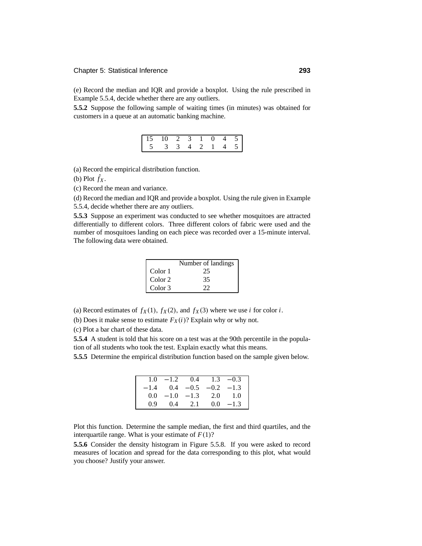#### Chapter 5: Statistical Inference **293**

(e) Record the median and IQR and provide a boxplot. Using the rule prescribed in Example 5.5.4, decide whether there are any outliers.

**5.5.2** Suppose the following sample of waiting times (in minutes) was obtained for customers in a queue at an automatic banking machine.

| $15 \quad 10$ |               | 2 3 1 0       |  |          | 451             |
|---------------|---------------|---------------|--|----------|-----------------|
|               | $\sim$ $\sim$ | $\mathcal{R}$ |  | $\sim$ 1 | $\sim$ 5 $\sim$ |

(a) Record the empirical distribution function.

(b) Plot  $\hat{f}_X$ .

(c) Record the mean and variance.

(d) Record the median and IQR and provide a boxplot. Using the rule given in Example 5.5.4, decide whether there are any outliers.

**5.5.3** Suppose an experiment was conducted to see whether mosquitoes are attracted differentially to different colors. Three different colors of fabric were used and the number of mosquitoes landing on each piece was recorded over a 15-minute interval. The following data were obtained.

|                    | Number of landings |
|--------------------|--------------------|
| Color 1            | 25                 |
| Color <sub>2</sub> | 35                 |
| Color 3            | 22                 |

(a) Record estimates of  $f_X(1)$ ,  $f_X(2)$ , and  $f_X(3)$  where we use *i* for color *i*.

(b) Does it make sense to estimate  $F_X(i)$ ? Explain why or why not.

(c) Plot a bar chart of these data.

**5.5.4** A student is told that his score on a test was at the 90th percentile in the population of all students who took the test. Explain exactly what this means.

**5.5.5** Determine the empirical distribution function based on the sample given below.

|  |  | $\begin{array}{cccc} 1.0 & -1.2 & 0.4 & 1.3 & -0.3 \\ -1.4 & 0.4 & -0.5 & -0.2 & -1.3 \\ 0.0 & -1.0 & -1.3 & 2.0 & 1.0 \\ 0.9 & 0.4 & 2.1 & 0.0 & -1.3 \end{array}$ |
|--|--|---------------------------------------------------------------------------------------------------------------------------------------------------------------------|

Plot this function. Determine the sample median, the first and third quartiles, and the interquartile range. What is your estimate of  $F(1)$ ?

**5.5.6** Consider the density histogram in Figure 5.5.8. If you were asked to record measures of location and spread for the data corresponding to this plot, what would you choose? Justify your answer.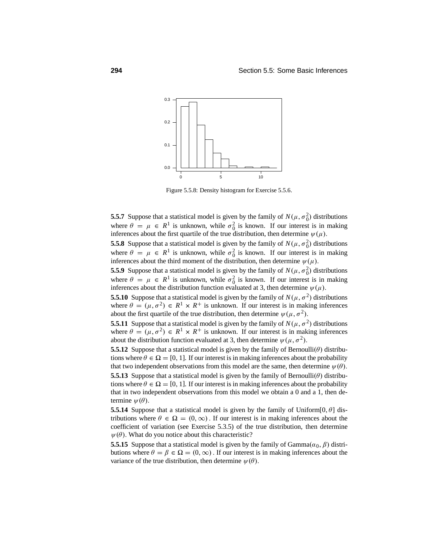

Figure 5.5.8: Density histogram for Exercise 5.5.6.

**5.5.7** Suppose that a statistical model is given by the family of  $N(\mu, \sigma_0^2)$  distributions where  $\theta = \mu \in R^1$  is unknown, while  $\sigma_0^2$  is known. If our interest is in making inferences about the first quartile of the true distribution, then determine  $\psi(\mu)$ .

**5.5.8** Suppose that a statistical model is given by the family of  $N(\mu, \sigma_0^2)$  distributions where  $\theta = \mu \in R^1$  is unknown, while  $\sigma_0^2$  is known. If our interest is in making inferences about the third moment of the distribution, then determine  $\psi(\mu)$ .

**5.5.9** Suppose that a statistical model is given by the family of  $N(\mu, \sigma_0^2)$  distributions where  $\theta = \mu \in R^1$  is unknown, while  $\sigma_0^2$  is known. If our interest is in making inferences about the distribution function evaluated at 3, then determine  $\psi(\mu)$ .

**5.5.10** Suppose that a statistical model is given by the family of  $N(\mu, \sigma^2)$  distributions where  $\theta = (\mu, \sigma^2) \in R^1 \times R^+$  is unknown. If our interest is in making inferences about the first quartile of the true distribution, then determine  $\psi(\mu, \sigma^2)$ .

**5.5.11** Suppose that a statistical model is given by the family of  $N(\mu, \sigma^2)$  distributions where  $\theta = (\mu, \sigma^2) \in R^1 \times R^+$  is unknown. If our interest is in making inferences about the distribution function evaluated at 3, then determine  $\psi(\mu, \sigma^2)$ .

**5.5.12** Suppose that a statistical model is given by the family of Bernoulli( $\theta$ ) distributions where  $\theta \in \Omega = [0, 1]$ . If our interest is in making inferences about the probability that two independent observations from this model are the same, then determine  $\psi(\theta)$ . **5.5.13** Suppose that a statistical model is given by the family of Bernoulli( $\theta$ ) distributions where  $\theta \in \Omega = [0, 1]$ . If our interest is in making inferences about the probability that in two independent observations from this model we obtain a 0 and a 1, then determine  $\psi(\theta)$ .

**5.5.14** Suppose that a statistical model is given by the family of Uniform $[0, \theta]$  distributions where  $\theta \in \Omega = (0, \infty)$ . If our interest is in making inferences about the coefficient of variation (see Exercise 5.3.5) of the true distribution, then determine  $\psi(\theta)$ . What do you notice about this characteristic?

**5.5.15** Suppose that a statistical model is given by the family of  $Gamma(\alpha_0, \beta)$  distributions where  $\theta = \beta \in \Omega = (0, \infty)$ . If our interest is in making inferences about the variance of the true distribution, then determine  $\psi(\theta)$ .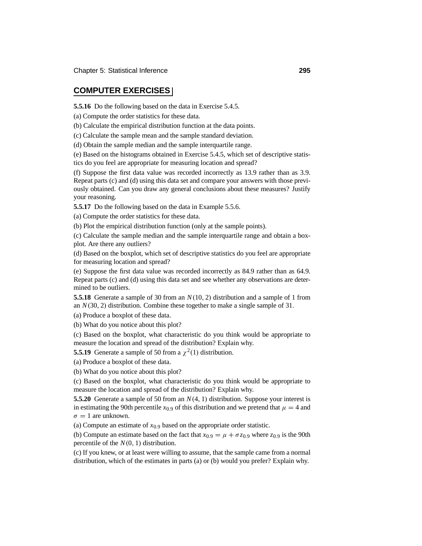Chapter 5: Statistical Inference **295**

#### **COMPUTER EXERCISES**

**5.5.16** Do the following based on the data in Exercise 5.4.5.

(a) Compute the order statistics for these data.

(b) Calculate the empirical distribution function at the data points.

(c) Calculate the sample mean and the sample standard deviation.

(d) Obtain the sample median and the sample interquartile range.

(e) Based on the histograms obtained in Exercise 5.4.5, which set of descriptive statistics do you feel are appropriate for measuring location and spread?

(f) Suppose the first data value was recorded incorrectly as 13.9 rather than as 3.9. Repeat parts (c) and (d) using this data set and compare your answers with those previously obtained. Can you draw any general conclusions about these measures? Justify your reasoning.

**5.5.17** Do the following based on the data in Example 5.5.6.

(a) Compute the order statistics for these data.

(b) Plot the empirical distribution function (only at the sample points).

(c) Calculate the sample median and the sample interquartile range and obtain a boxplot. Are there any outliers?

(d) Based on the boxplot, which set of descriptive statistics do you feel are appropriate for measuring location and spread?

(e) Suppose the first data value was recorded incorrectly as 84.9 rather than as 64.9. Repeat parts (c) and (d) using this data set and see whether any observations are determined to be outliers.

**5.5.18** Generate a sample of 30 from an  $N(10, 2)$  distribution and a sample of 1 from an *N*(30, 2) distribution. Combine these together to make a single sample of 31.

(a) Produce a boxplot of these data.

(b) What do you notice about this plot?

(c) Based on the boxplot, what characteristic do you think would be appropriate to measure the location and spread of the distribution? Explain why.

**5.5.19** Generate a sample of 50 from a  $\chi^2(1)$  distribution.

(a) Produce a boxplot of these data.

(b) What do you notice about this plot?

(c) Based on the boxplot, what characteristic do you think would be appropriate to measure the location and spread of the distribution? Explain why.

**5.5.20** Generate a sample of 50 from an  $N(4, 1)$  distribution. Suppose your interest is in estimating the 90th percentile  $x_{0,9}$  of this distribution and we pretend that  $\mu = 4$  and  $\sigma = 1$  are unknown.

(a) Compute an estimate of *x*0.<sup>9</sup> based on the appropriate order statistic.

(b) Compute an estimate based on the fact that  $x_{0.9} = \mu + \sigma z_{0.9}$  where  $z_{0.9}$  is the 90th percentile of the  $N(0, 1)$  distribution.

(c) If you knew, or at least were willing to assume, that the sample came from a normal distribution, which of the estimates in parts (a) or (b) would you prefer? Explain why.